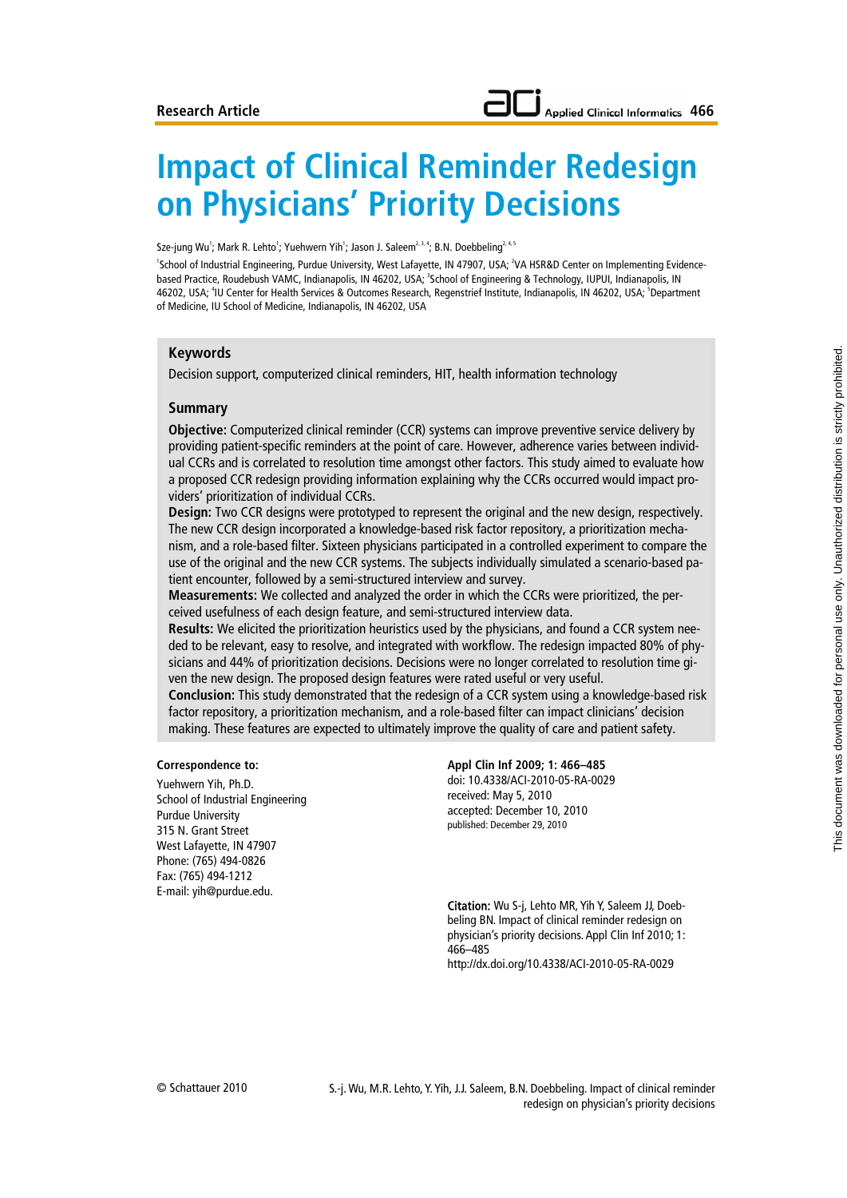# **Impact of Clinical Reminder Redesign on Physicians' Priority Decisions**

Sze-jung Wu<sup>1</sup>; Mark R. Lehto<sup>1</sup>; Yuehwern Yih<sup>1</sup>; Jason J. Saleem<sup>2, 3, 4</sup>; B.N. Doebbeling<sup>2, 4, 5</sup>

<sup>1</sup>School of Industrial Engineering, Purdue University, West Lafayette, IN 47907, USA; <sup>2</sup>VA HSR&D Center on Implementing Evidencebased Practice, Roudebush VAMC, Indianapolis, IN 46202, USA; <sup>3</sup>School of Engineering & Technology, IUPUI, Indianapolis, IN 46202, USA; <sup>4</sup>IU Center for Health Services & Outcomes Research, Regenstrief Institute, Indianapolis, IN 46202, USA; <sup>5</sup>Department of Medicine, IU School of Medicine, Indianapolis, IN 46202, USA

#### **Keywords**

Decision support, computerized clinical reminders, HIT, health information technology

#### **Summary**

**Objective:** Computerized clinical reminder (CCR) systems can improve preventive service delivery by providing patient-specific reminders at the point of care. However, adherence varies between individual CCRs and is correlated to resolution time amongst other factors. This study aimed to evaluate how a proposed CCR redesign providing information explaining why the CCRs occurred would impact providers' prioritization of individual CCRs.

**Design:** Two CCR designs were prototyped to represent the original and the new design, respectively. The new CCR design incorporated a knowledge-based risk factor repository, a prioritization mechanism, and a role-based filter. Sixteen physicians participated in a controlled experiment to compare the use of the original and the new CCR systems. The subjects individually simulated a scenario-based patient encounter, followed by a semi-structured interview and survey.

**Measurements:** We collected and analyzed the order in which the CCRs were prioritized, the perceived usefulness of each design feature, and semi-structured interview data.

**Results:** We elicited the prioritization heuristics used by the physicians, and found a CCR system needed to be relevant, easy to resolve, and integrated with workflow. The redesign impacted 80% of physicians and 44% of prioritization decisions. Decisions were no longer correlated to resolution time given the new design. The proposed design features were rated useful or very useful.

**Conclusion:** This study demonstrated that the redesign of a CCR system using a knowledge-based risk factor repository, a prioritization mechanism, and a role-based filter can impact clinicians' decision making. These features are expected to ultimately improve the quality of care and patient safety.

#### **Correspondence to:**

Yuehwern Yih, Ph.D. School of Industrial Engineering Purdue University 315 N. Grant Street West Lafayette, IN 47907 Phone: (765) 494-0826 Fax: (765) 494-1212 E-mail: yih@purdue.edu.

**Appl Clin Inf 2009; 1: 466–485** doi: 10.4338/ACI-2010-05-RA-0029 received: May 5, 2010 accepted: December 10, 2010

published: December 29, 2010

Citation: Wu S-j, Lehto MR, Yih Y, Saleem JJ, Doebbeling BN. Impact of clinical reminder redesign on physician's priority decisions. Appl Clin Inf 2010; 1: 466–485 http://dx.doi.org/10.4338/ACI-2010-05-RA-0029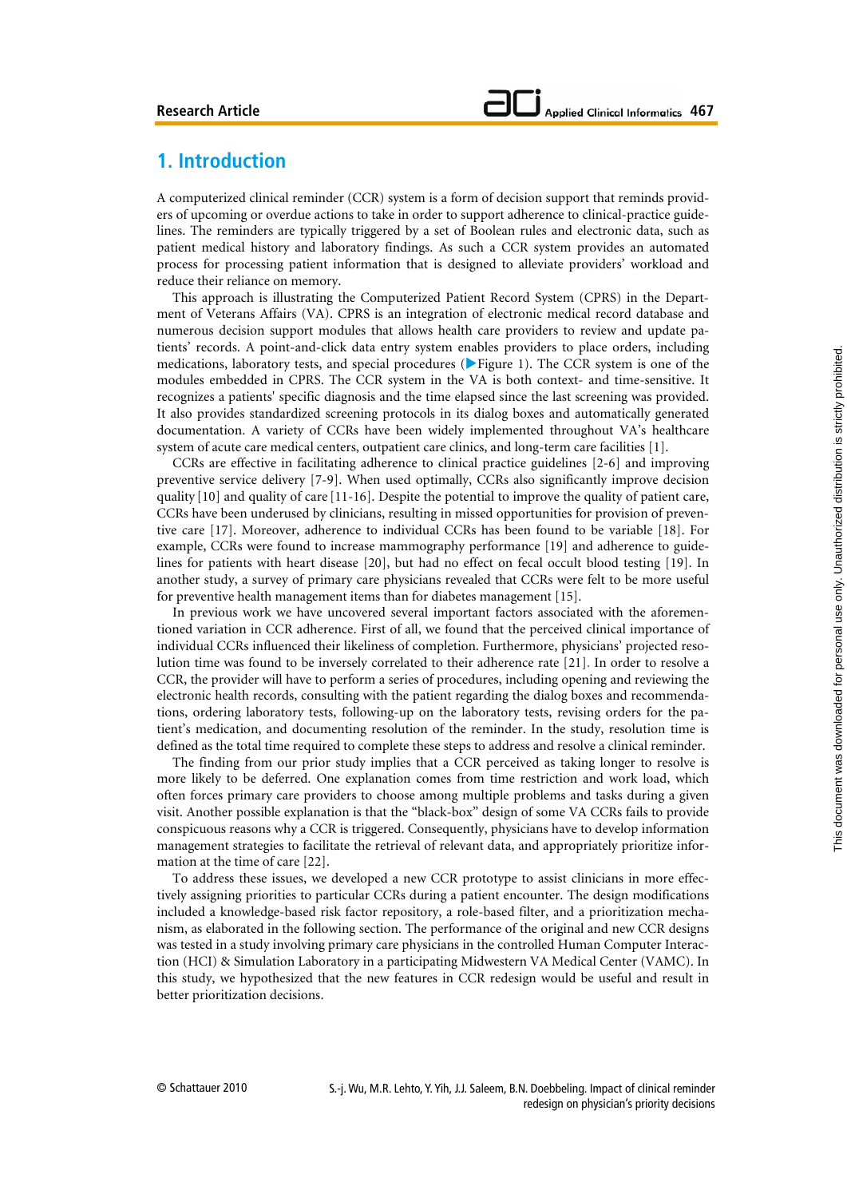# **1. Introduction**

A computerized clinical reminder (CCR) system is a form of decision support that reminds providers of upcoming or overdue actions to take in order to support adherence to clinical-practice guidelines. The reminders are typically triggered by a set of Boolean rules and electronic data, such as patient medical history and laboratory findings. As such a CCR system provides an automated process for processing patient information that is designed to alleviate providers' workload and reduce their reliance on memory.

This approach is illustrating the Computerized Patient Record System (CPRS) in the Department of Veterans Affairs (VA). CPRS is an integration of electronic medical record database and numerous decision support modules that allows health care providers to review and update patients' records. A point-and-click data entry system enables providers to place orders, including medications, laboratory tests, and special procedures ( $\blacktriangleright$  Figure 1). The CCR system is one of the modules embedded in CPRS. The CCR system in the VA is both context- and time-sensitive. It recognizes a patients' specific diagnosis and the time elapsed since the last screening was provided. It also provides standardized screening protocols in its dialog boxes and automatically generated documentation. A variety of CCRs have been widely implemented throughout VA's healthcare system of acute care medical centers, outpatient care clinics, and long-term care facilities [1].

CCRs are effective in facilitating adherence to clinical practice guidelines [2-6] and improving preventive service delivery [7-9]. When used optimally, CCRs also significantly improve decision quality [10] and quality of care [11-16]. Despite the potential to improve the quality of patient care, CCRs have been underused by clinicians, resulting in missed opportunities for provision of preventive care [17]. Moreover, adherence to individual CCRs has been found to be variable [18]. For example, CCRs were found to increase mammography performance [19] and adherence to guidelines for patients with heart disease [20], but had no effect on fecal occult blood testing [19]. In another study, a survey of primary care physicians revealed that CCRs were felt to be more useful for preventive health management items than for diabetes management [15].

In previous work we have uncovered several important factors associated with the aforementioned variation in CCR adherence. First of all, we found that the perceived clinical importance of individual CCRs influenced their likeliness of completion. Furthermore, physicians' projected resolution time was found to be inversely correlated to their adherence rate [21]. In order to resolve a CCR, the provider will have to perform a series of procedures, including opening and reviewing the electronic health records, consulting with the patient regarding the dialog boxes and recommendations, ordering laboratory tests, following-up on the laboratory tests, revising orders for the patient's medication, and documenting resolution of the reminder. In the study, resolution time is defined as the total time required to complete these steps to address and resolve a clinical reminder.

The finding from our prior study implies that a CCR perceived as taking longer to resolve is more likely to be deferred. One explanation comes from time restriction and work load, which often forces primary care providers to choose among multiple problems and tasks during a given visit. Another possible explanation is that the "black-box" design of some VA CCRs fails to provide conspicuous reasons why a CCR is triggered. Consequently, physicians have to develop information management strategies to facilitate the retrieval of relevant data, and appropriately prioritize information at the time of care [22].

To address these issues, we developed a new CCR prototype to assist clinicians in more effectively assigning priorities to particular CCRs during a patient encounter. The design modifications included a knowledge-based risk factor repository, a role-based filter, and a prioritization mechanism, as elaborated in the following section. The performance of the original and new CCR designs was tested in a study involving primary care physicians in the controlled Human Computer Interaction (HCI) & Simulation Laboratory in a participating Midwestern VA Medical Center (VAMC). In this study, we hypothesized that the new features in CCR redesign would be useful and result in better prioritization decisions.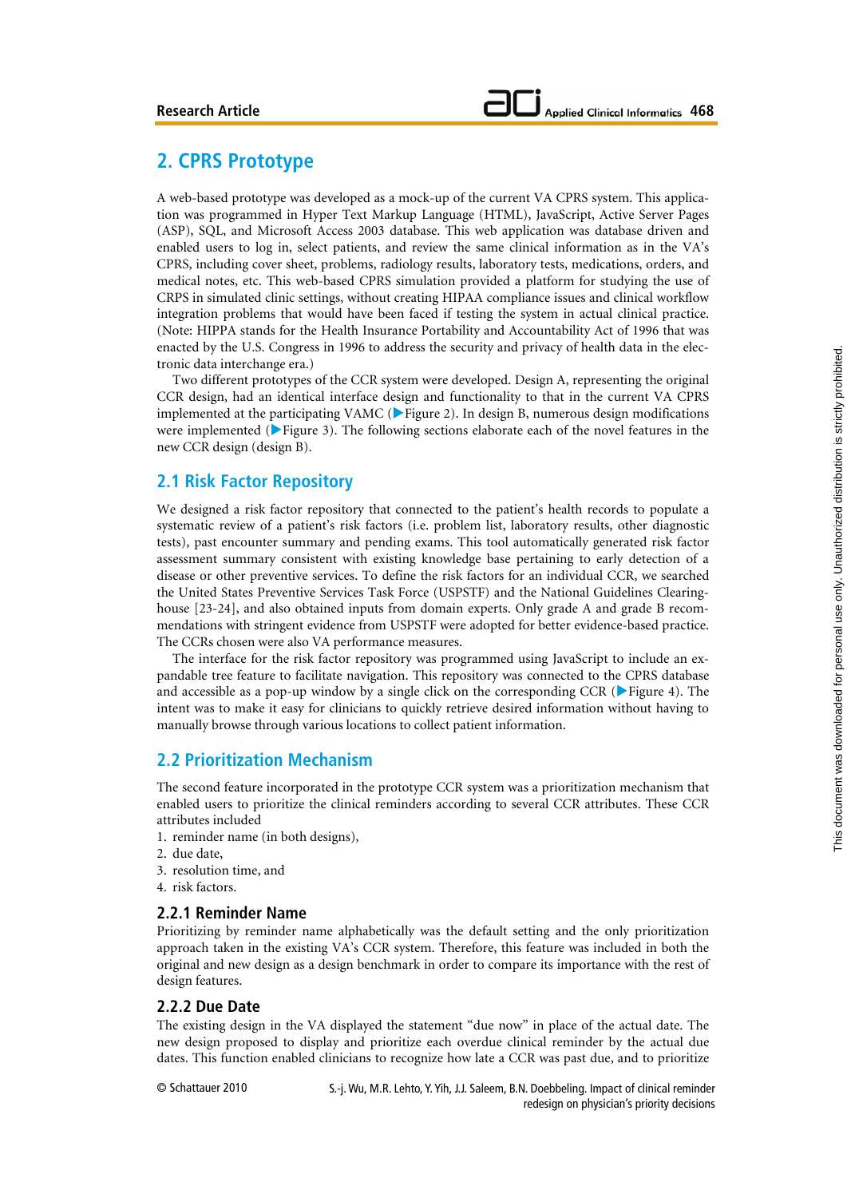# **2. CPRS Prototype**

A web-based prototype was developed as a mock-up of the current VA CPRS system. This application was programmed in Hyper Text Markup Language (HTML), JavaScript, Active Server Pages (ASP), SQL, and Microsoft Access 2003 database. This web application was database driven and enabled users to log in, select patients, and review the same clinical information as in the VA's CPRS, including cover sheet, problems, radiology results, laboratory tests, medications, orders, and medical notes, etc. This web-based CPRS simulation provided a platform for studying the use of CRPS in simulated clinic settings, without creating HIPAA compliance issues and clinical workflow integration problems that would have been faced if testing the system in actual clinical practice. (Note: HIPPA stands for the Health Insurance Portability and Accountability Act of 1996 that was enacted by the U.S. Congress in 1996 to address the security and privacy of health data in the electronic data interchange era.)

Two different prototypes of the CCR system were developed. Design A, representing the original CCR design, had an identical interface design and functionality to that in the current VA CPRS implemented at the participating VAMC ( $\blacktriangleright$  Figure 2). In design B, numerous design modifications were implemented ( $\blacktriangleright$  Figure 3). The following sections elaborate each of the novel features in the new CCR design (design B).

## **2.1 Risk Factor Repository**

We designed a risk factor repository that connected to the patient's health records to populate a systematic review of a patient's risk factors (i.e. problem list, laboratory results, other diagnostic tests), past encounter summary and pending exams. This tool automatically generated risk factor assessment summary consistent with existing knowledge base pertaining to early detection of a disease or other preventive services. To define the risk factors for an individual CCR, we searched the United States Preventive Services Task Force (USPSTF) and the National Guidelines Clearinghouse [23-24], and also obtained inputs from domain experts. Only grade A and grade B recommendations with stringent evidence from USPSTF were adopted for better evidence-based practice. The CCRs chosen were also VA performance measures.

The interface for the risk factor repository was programmed using JavaScript to include an expandable tree feature to facilitate navigation. This repository was connected to the CPRS database and accessible as a pop-up window by a single click on the corresponding CCR ( $\blacktriangleright$  Figure 4). The intent was to make it easy for clinicians to quickly retrieve desired information without having to manually browse through various locations to collect patient information.

## **2.2 Prioritization Mechanism**

The second feature incorporated in the prototype CCR system was a prioritization mechanism that enabled users to prioritize the clinical reminders according to several CCR attributes. These CCR attributes included

- 1. reminder name (in both designs),
- 2. due date,
- 3. resolution time, and
- 4. risk factors.

#### **2.2.1 Reminder Name**

Prioritizing by reminder name alphabetically was the default setting and the only prioritization approach taken in the existing VA's CCR system. Therefore, this feature was included in both the original and new design as a design benchmark in order to compare its importance with the rest of design features.

#### **2.2.2 Due Date**

The existing design in the VA displayed the statement "due now" in place of the actual date. The new design proposed to display and prioritize each overdue clinical reminder by the actual due dates. This function enabled clinicians to recognize how late a CCR was past due, and to prioritize

S.-j. Wu, M.R. Lehto, Y. Yih, J.J. Saleem, B.N. Doebbeling. Impact of clinical reminder redesign on physician's priority decisions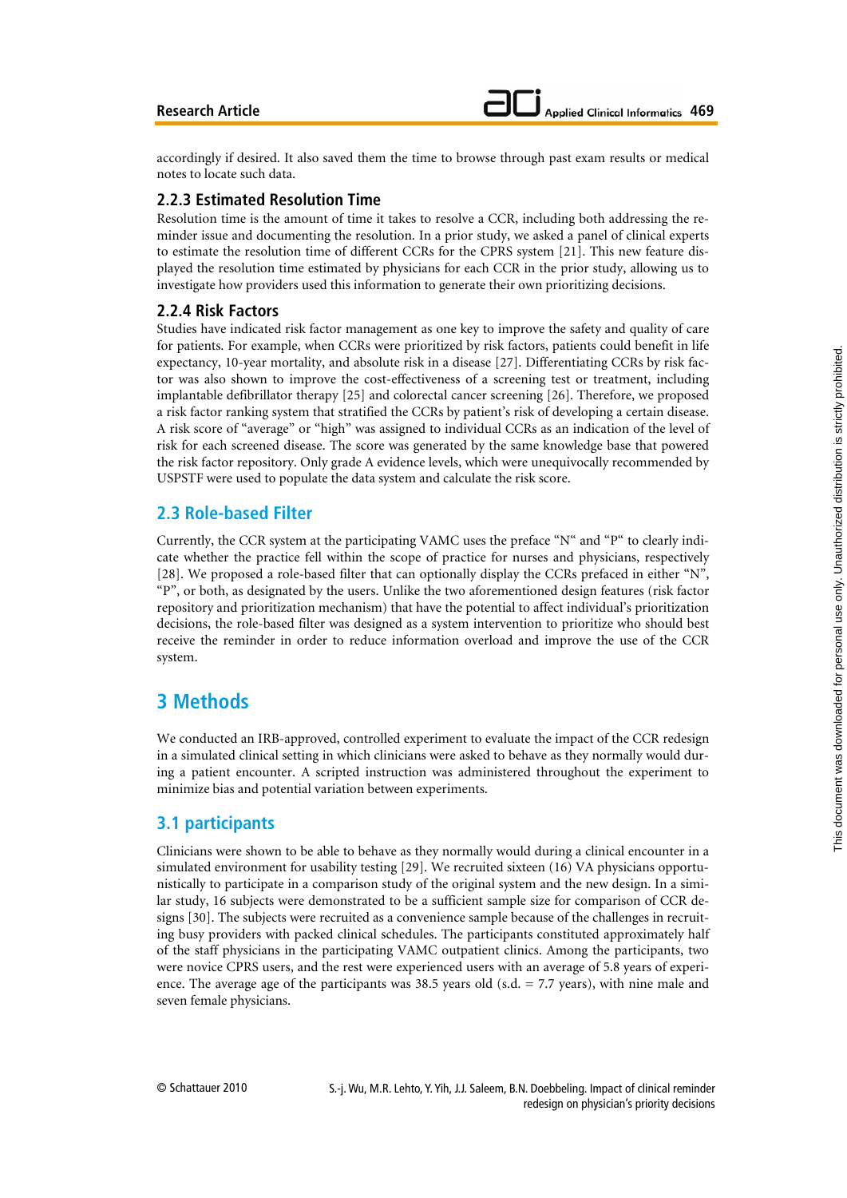accordingly if desired. It also saved them the time to browse through past exam results or medical notes to locate such data.

## **2.2.3 Estimated Resolution Time**

Resolution time is the amount of time it takes to resolve a CCR, including both addressing the reminder issue and documenting the resolution. In a prior study, we asked a panel of clinical experts to estimate the resolution time of different CCRs for the CPRS system [21]. This new feature displayed the resolution time estimated by physicians for each CCR in the prior study, allowing us to investigate how providers used this information to generate their own prioritizing decisions.

## **2.2.4 Risk Factors**

Studies have indicated risk factor management as one key to improve the safety and quality of care for patients. For example, when CCRs were prioritized by risk factors, patients could benefit in life expectancy, 10-year mortality, and absolute risk in a disease [27]. Differentiating CCRs by risk factor was also shown to improve the cost-effectiveness of a screening test or treatment, including implantable defibrillator therapy [25] and colorectal cancer screening [26]. Therefore, we proposed a risk factor ranking system that stratified the CCRs by patient's risk of developing a certain disease. A risk score of "average" or "high" was assigned to individual CCRs as an indication of the level of risk for each screened disease. The score was generated by the same knowledge base that powered the risk factor repository. Only grade A evidence levels, which were unequivocally recommended by USPSTF were used to populate the data system and calculate the risk score.

# **2.3 Role-based Filter**

Currently, the CCR system at the participating VAMC uses the preface "N" and "P" to clearly indicate whether the practice fell within the scope of practice for nurses and physicians, respectively [28]. We proposed a role-based filter that can optionally display the CCRs prefaced in either "N", "P", or both, as designated by the users. Unlike the two aforementioned design features (risk factor repository and prioritization mechanism) that have the potential to affect individual's prioritization decisions, the role-based filter was designed as a system intervention to prioritize who should best receive the reminder in order to reduce information overload and improve the use of the CCR system.

# **3 Methods**

We conducted an IRB-approved, controlled experiment to evaluate the impact of the CCR redesign in a simulated clinical setting in which clinicians were asked to behave as they normally would during a patient encounter. A scripted instruction was administered throughout the experiment to minimize bias and potential variation between experiments.

# **3.1 participants**

Clinicians were shown to be able to behave as they normally would during a clinical encounter in a simulated environment for usability testing [29]. We recruited sixteen (16) VA physicians opportunistically to participate in a comparison study of the original system and the new design. In a similar study, 16 subjects were demonstrated to be a sufficient sample size for comparison of CCR designs [30]. The subjects were recruited as a convenience sample because of the challenges in recruiting busy providers with packed clinical schedules. The participants constituted approximately half of the staff physicians in the participating VAMC outpatient clinics. Among the participants, two were novice CPRS users, and the rest were experienced users with an average of 5.8 years of experience. The average age of the participants was  $38.5$  years old (s.d. = 7.7 years), with nine male and seven female physicians.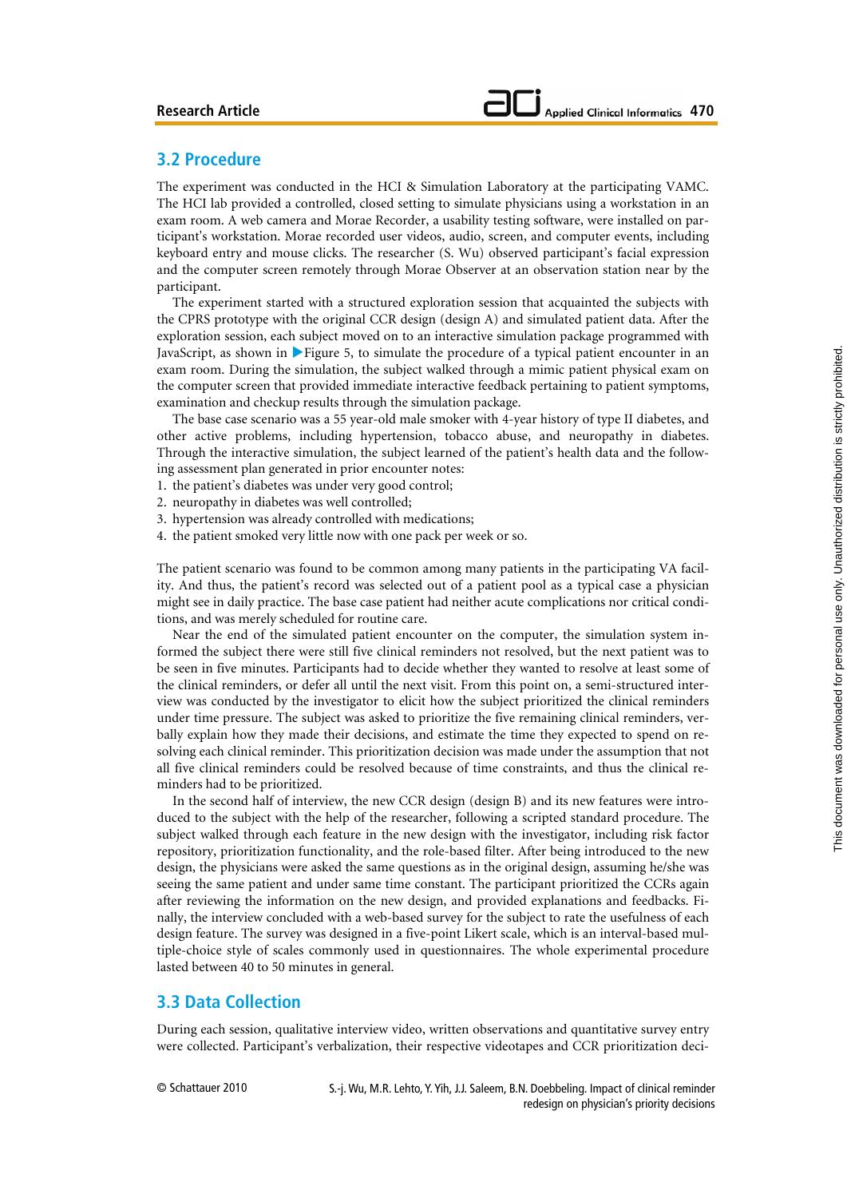## **3.2 Procedure**

The experiment was conducted in the HCI & Simulation Laboratory at the participating VAMC. The HCI lab provided a controlled, closed setting to simulate physicians using a workstation in an exam room. A web camera and Morae Recorder, a usability testing software, were installed on participant's workstation. Morae recorded user videos, audio, screen, and computer events, including keyboard entry and mouse clicks. The researcher (S. Wu) observed participant's facial expression and the computer screen remotely through Morae Observer at an observation station near by the participant.

The experiment started with a structured exploration session that acquainted the subjects with the CPRS prototype with the original CCR design (design A) and simulated patient data. After the exploration session, each subject moved on to an interactive simulation package programmed with JavaScript, as shown in  $\blacktriangleright$  Figure 5, to simulate the procedure of a typical patient encounter in an exam room. During the simulation, the subject walked through a mimic patient physical exam on the computer screen that provided immediate interactive feedback pertaining to patient symptoms, examination and checkup results through the simulation package.

The base case scenario was a 55 year-old male smoker with 4-year history of type II diabetes, and other active problems, including hypertension, tobacco abuse, and neuropathy in diabetes. Through the interactive simulation, the subject learned of the patient's health data and the following assessment plan generated in prior encounter notes:

- 1. the patient's diabetes was under very good control;
- 2. neuropathy in diabetes was well controlled;
- 3. hypertension was already controlled with medications;
- 4. the patient smoked very little now with one pack per week or so.

The patient scenario was found to be common among many patients in the participating VA facility. And thus, the patient's record was selected out of a patient pool as a typical case a physician might see in daily practice. The base case patient had neither acute complications nor critical conditions, and was merely scheduled for routine care.

Near the end of the simulated patient encounter on the computer, the simulation system informed the subject there were still five clinical reminders not resolved, but the next patient was to be seen in five minutes. Participants had to decide whether they wanted to resolve at least some of the clinical reminders, or defer all until the next visit. From this point on, a semi-structured interview was conducted by the investigator to elicit how the subject prioritized the clinical reminders under time pressure. The subject was asked to prioritize the five remaining clinical reminders, verbally explain how they made their decisions, and estimate the time they expected to spend on resolving each clinical reminder. This prioritization decision was made under the assumption that not all five clinical reminders could be resolved because of time constraints, and thus the clinical reminders had to be prioritized.

In the second half of interview, the new CCR design (design B) and its new features were introduced to the subject with the help of the researcher, following a scripted standard procedure. The subject walked through each feature in the new design with the investigator, including risk factor repository, prioritization functionality, and the role-based filter. After being introduced to the new design, the physicians were asked the same questions as in the original design, assuming he/she was seeing the same patient and under same time constant. The participant prioritized the CCRs again after reviewing the information on the new design, and provided explanations and feedbacks. Finally, the interview concluded with a web-based survey for the subject to rate the usefulness of each design feature. The survey was designed in a five-point Likert scale, which is an interval-based multiple-choice style of scales commonly used in questionnaires. The whole experimental procedure lasted between 40 to 50 minutes in general.

## **3.3 Data Collection**

During each session, qualitative interview video, written observations and quantitative survey entry were collected. Participant's verbalization, their respective videotapes and CCR prioritization deci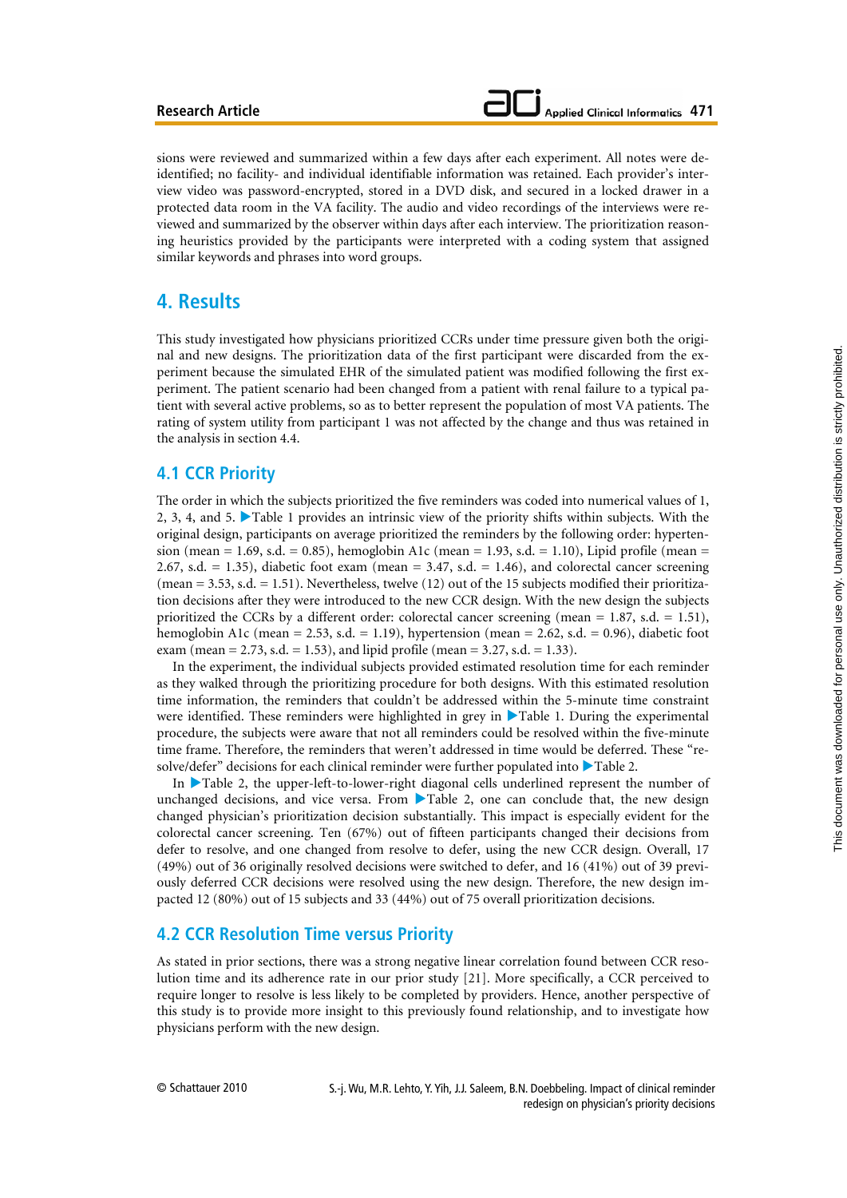sions were reviewed and summarized within a few days after each experiment. All notes were deidentified; no facility- and individual identifiable information was retained. Each provider's interview video was password-encrypted, stored in a DVD disk, and secured in a locked drawer in a protected data room in the VA facility. The audio and video recordings of the interviews were reviewed and summarized by the observer within days after each interview. The prioritization reasoning heuristics provided by the participants were interpreted with a coding system that assigned similar keywords and phrases into word groups.

# **4. Results**

This study investigated how physicians prioritized CCRs under time pressure given both the original and new designs. The prioritization data of the first participant were discarded from the experiment because the simulated EHR of the simulated patient was modified following the first experiment. The patient scenario had been changed from a patient with renal failure to a typical patient with several active problems, so as to better represent the population of most VA patients. The rating of system utility from participant 1 was not affected by the change and thus was retained in the analysis in section 4.4.

## **4.1 CCR Priority**

The order in which the subjects prioritized the five reminders was coded into numerical values of 1, 2, 3, 4, and 5. XTable 1 provides an intrinsic view of the priority shifts within subjects. With the original design, participants on average prioritized the reminders by the following order: hypertension (mean = 1.69, s.d. = 0.85), hemoglobin A1c (mean = 1.93, s.d. = 1.10), Lipid profile (mean = 2.67, s.d. = 1.35), diabetic foot exam (mean = 3.47, s.d. = 1.46), and colorectal cancer screening (mean = 3.53, s.d. = 1.51). Nevertheless, twelve (12) out of the 15 subjects modified their prioritization decisions after they were introduced to the new CCR design. With the new design the subjects prioritized the CCRs by a different order: colorectal cancer screening (mean = 1.87, s.d. = 1.51), hemoglobin A1c (mean = 2.53, s.d. = 1.19), hypertension (mean = 2.62, s.d. = 0.96), diabetic foot exam (mean = 2.73, s.d. = 1.53), and lipid profile (mean = 3.27, s.d. = 1.33).

In the experiment, the individual subjects provided estimated resolution time for each reminder as they walked through the prioritizing procedure for both designs. With this estimated resolution time information, the reminders that couldn't be addressed within the 5-minute time constraint were identified. These reminders were highlighted in grey in  $\blacktriangleright$  Table 1. During the experimental procedure, the subjects were aware that not all reminders could be resolved within the five-minute time frame. Therefore, the reminders that weren't addressed in time would be deferred. These "resolve/defer" decisions for each clinical reminder were further populated into  $\blacktriangleright$  Table 2.

In Table 2, the upper-left-to-lower-right diagonal cells underlined represent the number of unchanged decisions, and vice versa. From  $\blacktriangleright$  Table 2, one can conclude that, the new design changed physician's prioritization decision substantially. This impact is especially evident for the colorectal cancer screening. Ten (67%) out of fifteen participants changed their decisions from defer to resolve, and one changed from resolve to defer, using the new CCR design. Overall, 17 (49%) out of 36 originally resolved decisions were switched to defer, and 16 (41%) out of 39 previously deferred CCR decisions were resolved using the new design. Therefore, the new design impacted 12 (80%) out of 15 subjects and 33 (44%) out of 75 overall prioritization decisions.

## **4.2 CCR Resolution Time versus Priority**

As stated in prior sections, there was a strong negative linear correlation found between CCR resolution time and its adherence rate in our prior study [21]. More specifically, a CCR perceived to require longer to resolve is less likely to be completed by providers. Hence, another perspective of this study is to provide more insight to this previously found relationship, and to investigate how physicians perform with the new design.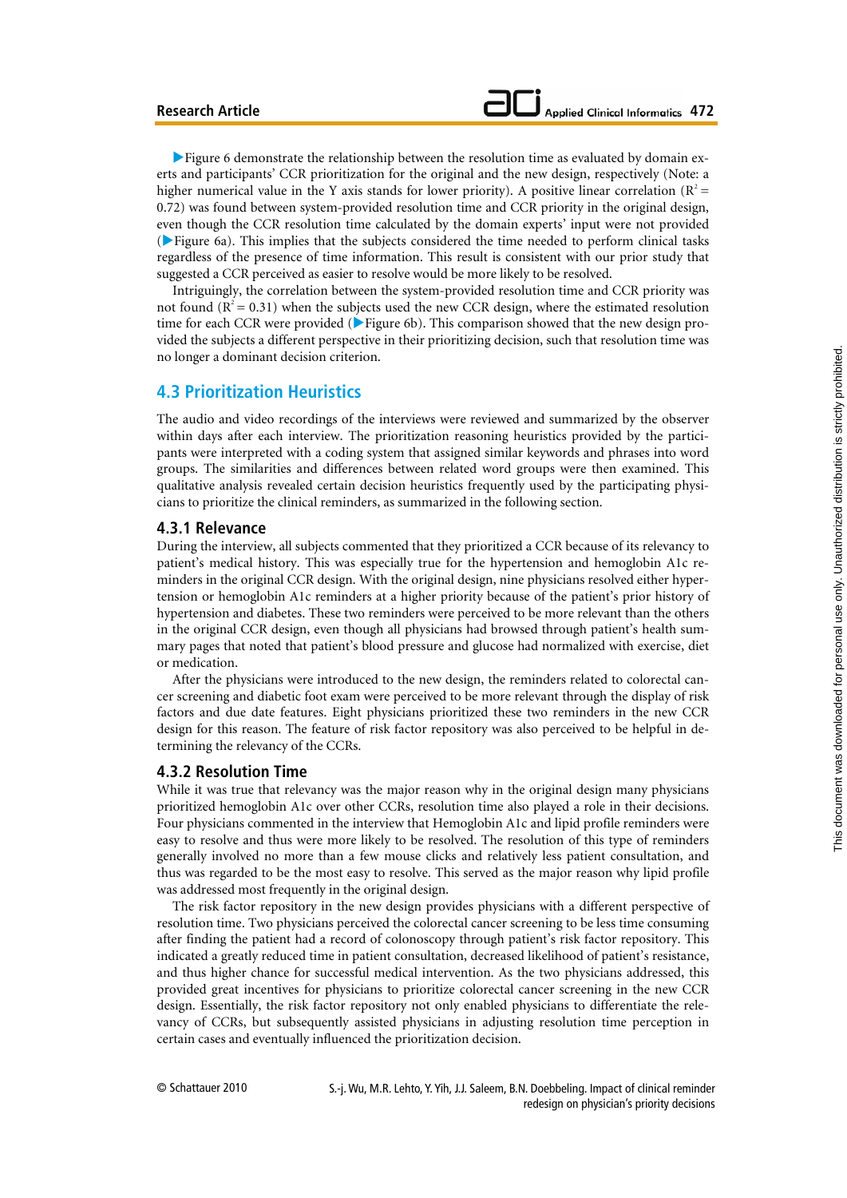Figure 6 demonstrate the relationship between the resolution time as evaluated by domain exerts and participants' CCR prioritization for the original and the new design, respectively (Note: a higher numerical value in the Y axis stands for lower priority). A positive linear correlation ( $R^2$  = 0.72) was found between system-provided resolution time and CCR priority in the original design, even though the CCR resolution time calculated by the domain experts' input were not provided ( $\blacktriangleright$  Figure 6a). This implies that the subjects considered the time needed to perform clinical tasks regardless of the presence of time information. This result is consistent with our prior study that suggested a CCR perceived as easier to resolve would be more likely to be resolved.

Intriguingly, the correlation between the system-provided resolution time and CCR priority was not found  $(R^2 = 0.31)$  when the subjects used the new CCR design, where the estimated resolution time for each CCR were provided ( $\blacktriangleright$  Figure 6b). This comparison showed that the new design provided the subjects a different perspective in their prioritizing decision, such that resolution time was no longer a dominant decision criterion.

## **4.3 Prioritization Heuristics**

The audio and video recordings of the interviews were reviewed and summarized by the observer within days after each interview. The prioritization reasoning heuristics provided by the participants were interpreted with a coding system that assigned similar keywords and phrases into word groups. The similarities and differences between related word groups were then examined. This qualitative analysis revealed certain decision heuristics frequently used by the participating physicians to prioritize the clinical reminders, as summarized in the following section.

#### **4.3.1 Relevance**

During the interview, all subjects commented that they prioritized a CCR because of its relevancy to patient's medical history. This was especially true for the hypertension and hemoglobin A1c reminders in the original CCR design. With the original design, nine physicians resolved either hypertension or hemoglobin A1c reminders at a higher priority because of the patient's prior history of hypertension and diabetes. These two reminders were perceived to be more relevant than the others in the original CCR design, even though all physicians had browsed through patient's health summary pages that noted that patient's blood pressure and glucose had normalized with exercise, diet or medication.

After the physicians were introduced to the new design, the reminders related to colorectal cancer screening and diabetic foot exam were perceived to be more relevant through the display of risk factors and due date features. Eight physicians prioritized these two reminders in the new CCR design for this reason. The feature of risk factor repository was also perceived to be helpful in determining the relevancy of the CCRs.

#### **4.3.2 Resolution Time**

While it was true that relevancy was the major reason why in the original design many physicians prioritized hemoglobin A1c over other CCRs, resolution time also played a role in their decisions. Four physicians commented in the interview that Hemoglobin A1c and lipid profile reminders were easy to resolve and thus were more likely to be resolved. The resolution of this type of reminders generally involved no more than a few mouse clicks and relatively less patient consultation, and thus was regarded to be the most easy to resolve. This served as the major reason why lipid profile was addressed most frequently in the original design.

The risk factor repository in the new design provides physicians with a different perspective of resolution time. Two physicians perceived the colorectal cancer screening to be less time consuming after finding the patient had a record of colonoscopy through patient's risk factor repository. This indicated a greatly reduced time in patient consultation, decreased likelihood of patient's resistance, and thus higher chance for successful medical intervention. As the two physicians addressed, this provided great incentives for physicians to prioritize colorectal cancer screening in the new CCR design. Essentially, the risk factor repository not only enabled physicians to differentiate the relevancy of CCRs, but subsequently assisted physicians in adjusting resolution time perception in certain cases and eventually influenced the prioritization decision.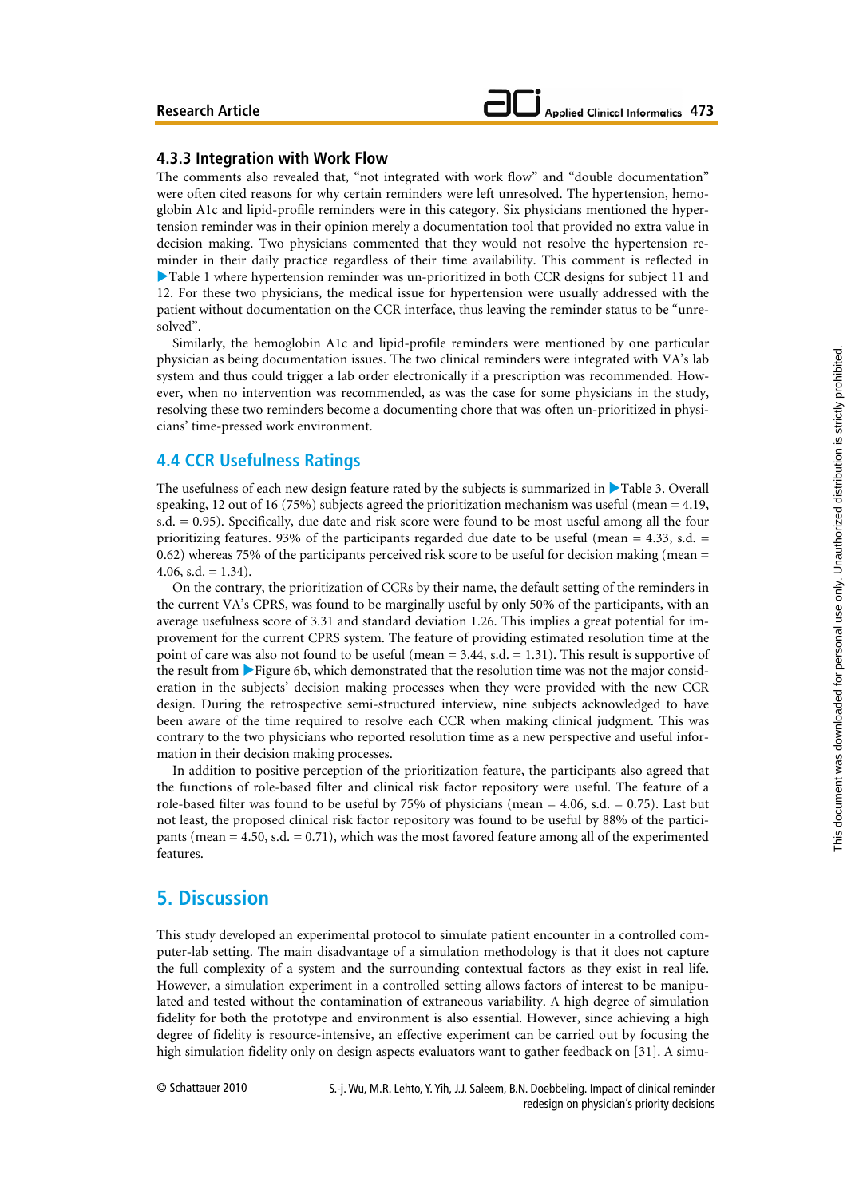#### **4.3.3 Integration with Work Flow**

The comments also revealed that, "not integrated with work flow" and "double documentation" were often cited reasons for why certain reminders were left unresolved. The hypertension, hemoglobin A1c and lipid-profile reminders were in this category. Six physicians mentioned the hypertension reminder was in their opinion merely a documentation tool that provided no extra value in decision making. Two physicians commented that they would not resolve the hypertension reminder in their daily practice regardless of their time availability. This comment is reflected in Table 1 where hypertension reminder was un-prioritized in both CCR designs for subject 11 and 12. For these two physicians, the medical issue for hypertension were usually addressed with the patient without documentation on the CCR interface, thus leaving the reminder status to be "unresolved".

Similarly, the hemoglobin A1c and lipid-profile reminders were mentioned by one particular physician as being documentation issues. The two clinical reminders were integrated with VA's lab system and thus could trigger a lab order electronically if a prescription was recommended. However, when no intervention was recommended, as was the case for some physicians in the study, resolving these two reminders become a documenting chore that was often un-prioritized in physicians' time-pressed work environment.

## **4.4 CCR Usefulness Ratings**

The usefulness of each new design feature rated by the subjects is summarized in  $\blacktriangleright$  Table 3. Overall speaking, 12 out of 16 (75%) subjects agreed the prioritization mechanism was useful (mean = 4.19, s.d. = 0.95). Specifically, due date and risk score were found to be most useful among all the four prioritizing features. 93% of the participants regarded due date to be useful (mean  $= 4.33$ , s.d.  $=$ 0.62) whereas 75% of the participants perceived risk score to be useful for decision making (mean  $=$  $4.06$ , s.d. = 1.34).

On the contrary, the prioritization of CCRs by their name, the default setting of the reminders in the current VA's CPRS, was found to be marginally useful by only 50% of the participants, with an average usefulness score of 3.31 and standard deviation 1.26. This implies a great potential for improvement for the current CPRS system. The feature of providing estimated resolution time at the point of care was also not found to be useful (mean  $= 3.44$ , s.d.  $= 1.31$ ). This result is supportive of the result from  $\blacktriangleright$  Figure 6b, which demonstrated that the resolution time was not the major consideration in the subjects' decision making processes when they were provided with the new CCR design. During the retrospective semi-structured interview, nine subjects acknowledged to have been aware of the time required to resolve each CCR when making clinical judgment. This was contrary to the two physicians who reported resolution time as a new perspective and useful information in their decision making processes.

In addition to positive perception of the prioritization feature, the participants also agreed that the functions of role-based filter and clinical risk factor repository were useful. The feature of a role-based filter was found to be useful by 75% of physicians (mean  $=$  4.06, s.d.  $=$  0.75). Last but not least, the proposed clinical risk factor repository was found to be useful by 88% of the participants (mean = 4.50, s.d. = 0.71), which was the most favored feature among all of the experimented features.

# **5. Discussion**

This study developed an experimental protocol to simulate patient encounter in a controlled computer-lab setting. The main disadvantage of a simulation methodology is that it does not capture the full complexity of a system and the surrounding contextual factors as they exist in real life. However, a simulation experiment in a controlled setting allows factors of interest to be manipulated and tested without the contamination of extraneous variability. A high degree of simulation fidelity for both the prototype and environment is also essential. However, since achieving a high degree of fidelity is resource-intensive, an effective experiment can be carried out by focusing the high simulation fidelity only on design aspects evaluators want to gather feedback on [31]. A simu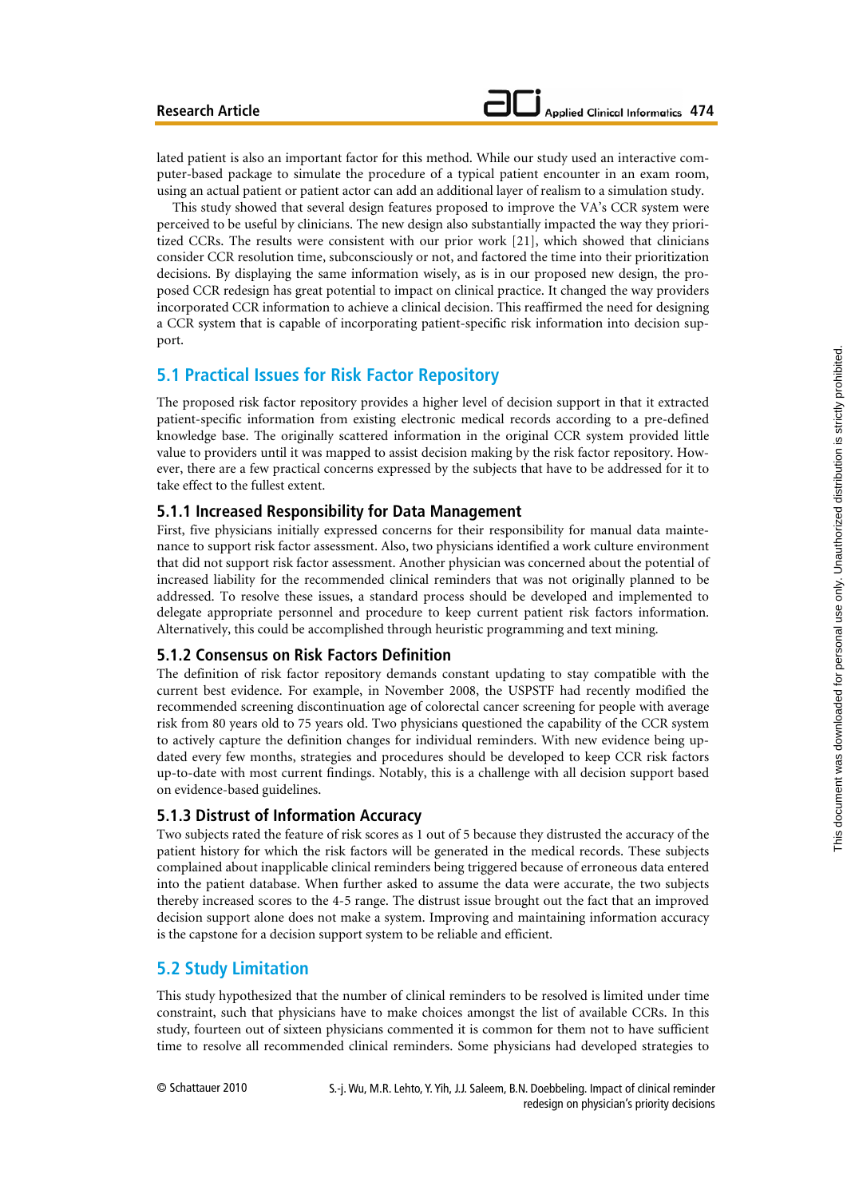lated patient is also an important factor for this method. While our study used an interactive computer-based package to simulate the procedure of a typical patient encounter in an exam room, using an actual patient or patient actor can add an additional layer of realism to a simulation study.

This study showed that several design features proposed to improve the VA's CCR system were perceived to be useful by clinicians. The new design also substantially impacted the way they prioritized CCRs. The results were consistent with our prior work [21], which showed that clinicians consider CCR resolution time, subconsciously or not, and factored the time into their prioritization decisions. By displaying the same information wisely, as is in our proposed new design, the proposed CCR redesign has great potential to impact on clinical practice. It changed the way providers incorporated CCR information to achieve a clinical decision. This reaffirmed the need for designing a CCR system that is capable of incorporating patient-specific risk information into decision support.

## **5.1 Practical Issues for Risk Factor Repository**

The proposed risk factor repository provides a higher level of decision support in that it extracted patient-specific information from existing electronic medical records according to a pre-defined knowledge base. The originally scattered information in the original CCR system provided little value to providers until it was mapped to assist decision making by the risk factor repository. However, there are a few practical concerns expressed by the subjects that have to be addressed for it to take effect to the fullest extent.

## **5.1.1 Increased Responsibility for Data Management**

First, five physicians initially expressed concerns for their responsibility for manual data maintenance to support risk factor assessment. Also, two physicians identified a work culture environment that did not support risk factor assessment. Another physician was concerned about the potential of increased liability for the recommended clinical reminders that was not originally planned to be addressed. To resolve these issues, a standard process should be developed and implemented to delegate appropriate personnel and procedure to keep current patient risk factors information. Alternatively, this could be accomplished through heuristic programming and text mining.

#### **5.1.2 Consensus on Risk Factors Definition**

The definition of risk factor repository demands constant updating to stay compatible with the current best evidence. For example, in November 2008, the USPSTF had recently modified the recommended screening discontinuation age of colorectal cancer screening for people with average risk from 80 years old to 75 years old. Two physicians questioned the capability of the CCR system to actively capture the definition changes for individual reminders. With new evidence being updated every few months, strategies and procedures should be developed to keep CCR risk factors up-to-date with most current findings. Notably, this is a challenge with all decision support based on evidence-based guidelines.

#### **5.1.3 Distrust of Information Accuracy**

Two subjects rated the feature of risk scores as 1 out of 5 because they distrusted the accuracy of the patient history for which the risk factors will be generated in the medical records. These subjects complained about inapplicable clinical reminders being triggered because of erroneous data entered into the patient database. When further asked to assume the data were accurate, the two subjects thereby increased scores to the 4-5 range. The distrust issue brought out the fact that an improved decision support alone does not make a system. Improving and maintaining information accuracy is the capstone for a decision support system to be reliable and efficient.

## **5.2 Study Limitation**

This study hypothesized that the number of clinical reminders to be resolved is limited under time constraint, such that physicians have to make choices amongst the list of available CCRs. In this study, fourteen out of sixteen physicians commented it is common for them not to have sufficient time to resolve all recommended clinical reminders. Some physicians had developed strategies to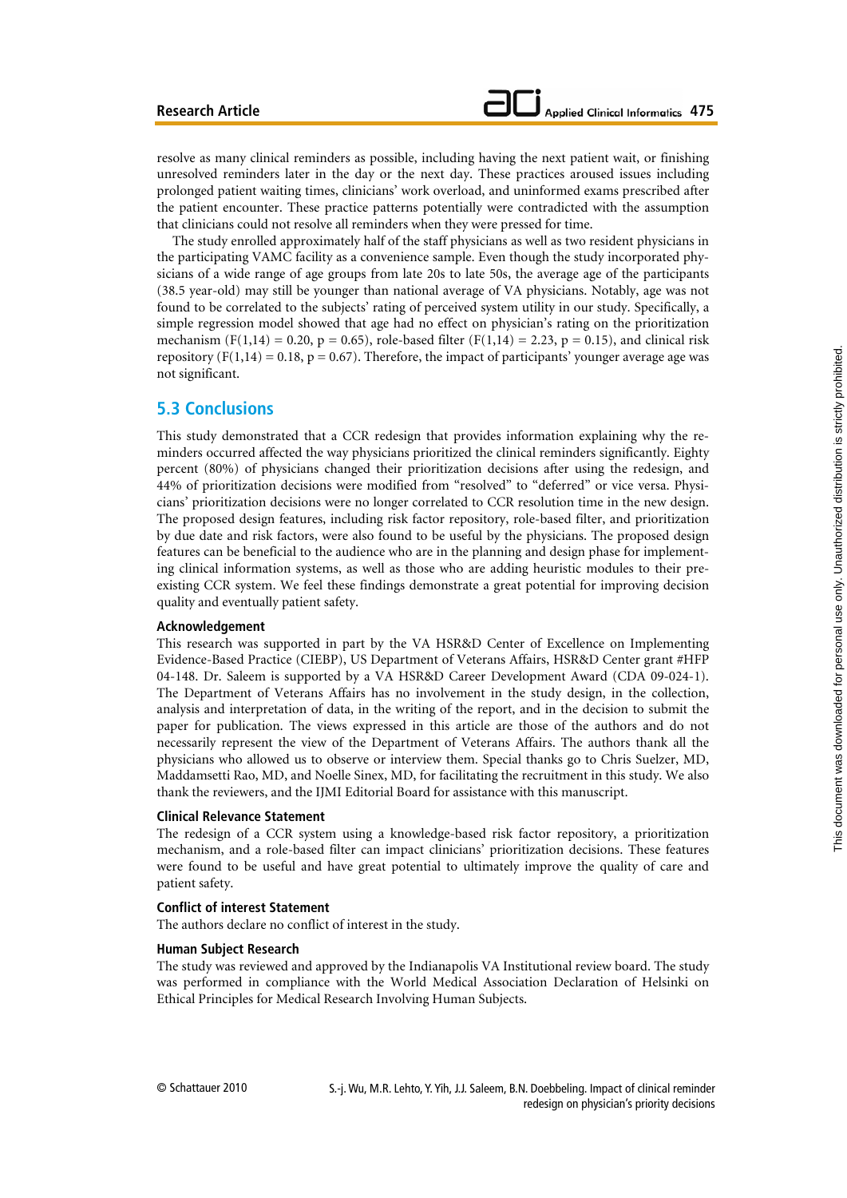resolve as many clinical reminders as possible, including having the next patient wait, or finishing unresolved reminders later in the day or the next day. These practices aroused issues including prolonged patient waiting times, clinicians' work overload, and uninformed exams prescribed after the patient encounter. These practice patterns potentially were contradicted with the assumption that clinicians could not resolve all reminders when they were pressed for time.

The study enrolled approximately half of the staff physicians as well as two resident physicians in the participating VAMC facility as a convenience sample. Even though the study incorporated physicians of a wide range of age groups from late 20s to late 50s, the average age of the participants (38.5 year-old) may still be younger than national average of VA physicians. Notably, age was not found to be correlated to the subjects' rating of perceived system utility in our study. Specifically, a simple regression model showed that age had no effect on physician's rating on the prioritization mechanism (F(1,14) = 0.20, p = 0.65), role-based filter (F(1,14) = 2.23, p = 0.15), and clinical risk repository  $(F(1,14) = 0.18, p = 0.67)$ . Therefore, the impact of participants' younger average age was not significant.

## **5.3 Conclusions**

This study demonstrated that a CCR redesign that provides information explaining why the reminders occurred affected the way physicians prioritized the clinical reminders significantly. Eighty percent (80%) of physicians changed their prioritization decisions after using the redesign, and 44% of prioritization decisions were modified from "resolved" to "deferred" or vice versa. Physicians' prioritization decisions were no longer correlated to CCR resolution time in the new design. The proposed design features, including risk factor repository, role-based filter, and prioritization by due date and risk factors, were also found to be useful by the physicians. The proposed design features can be beneficial to the audience who are in the planning and design phase for implementing clinical information systems, as well as those who are adding heuristic modules to their preexisting CCR system. We feel these findings demonstrate a great potential for improving decision quality and eventually patient safety.

#### **Acknowledgement**

This research was supported in part by the VA HSR&D Center of Excellence on Implementing Evidence-Based Practice (CIEBP), US Department of Veterans Affairs, HSR&D Center grant #HFP 04-148. Dr. Saleem is supported by a VA HSR&D Career Development Award (CDA 09-024-1). The Department of Veterans Affairs has no involvement in the study design, in the collection, analysis and interpretation of data, in the writing of the report, and in the decision to submit the paper for publication. The views expressed in this article are those of the authors and do not necessarily represent the view of the Department of Veterans Affairs. The authors thank all the physicians who allowed us to observe or interview them. Special thanks go to Chris Suelzer, MD, Maddamsetti Rao, MD, and Noelle Sinex, MD, for facilitating the recruitment in this study. We also thank the reviewers, and the IJMI Editorial Board for assistance with this manuscript.

#### **Clinical Relevance Statement**

The redesign of a CCR system using a knowledge-based risk factor repository, a prioritization mechanism, and a role-based filter can impact clinicians' prioritization decisions. These features were found to be useful and have great potential to ultimately improve the quality of care and patient safety.

#### **Conflict of interest Statement**

The authors declare no conflict of interest in the study.

#### **Human Subject Research**

The study was reviewed and approved by the Indianapolis VA Institutional review board. The study was performed in compliance with the World Medical Association Declaration of Helsinki on Ethical Principles for Medical Research Involving Human Subjects.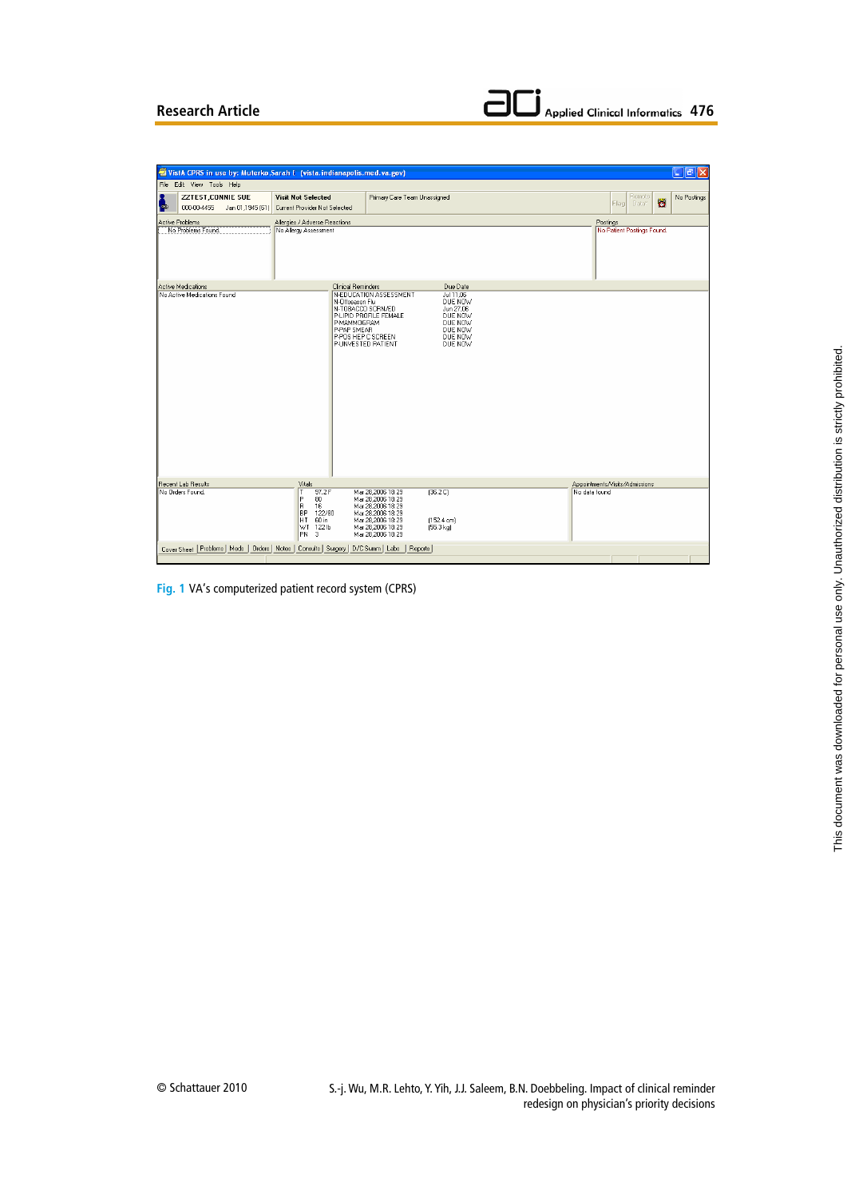|      | VistA CPRS in use by: Muterko, Sarah E (vista. indianapolis.med. va.gov) |                                                                                            |                                                                                                                                                 |                                                                                          |               |                                          | $\Box$ $\Box$ $\times$ |
|------|--------------------------------------------------------------------------|--------------------------------------------------------------------------------------------|-------------------------------------------------------------------------------------------------------------------------------------------------|------------------------------------------------------------------------------------------|---------------|------------------------------------------|------------------------|
| File | Edit View Tools Help                                                     |                                                                                            |                                                                                                                                                 |                                                                                          |               |                                          |                        |
| P    | <b>ZZTEST, CONNIE SUE</b><br>000-00-4455<br>Jan 01,1945 [61]             | <b>Visit Not Selected</b><br>Current Provider Not Selected                                 | Primary Care Team Unassigned                                                                                                                    |                                                                                          |               | Remote<br>Ö<br>Flag<br>Data <sup>x</sup> | No Postings            |
|      | Active Problems                                                          | Allergies / Adverse Reactions                                                              |                                                                                                                                                 |                                                                                          |               | Postings                                 |                        |
|      | No Problems Found                                                        | No Allergy Assessment                                                                      |                                                                                                                                                 |                                                                                          |               | No Patient Postings Found.               |                        |
|      | Active Medications                                                       | <b>Clinical Reminders</b>                                                                  |                                                                                                                                                 | Due Date                                                                                 |               |                                          |                        |
|      | No Active Medications Found                                              | N-Offseason Flu<br>P-MAMMOGRAM<br>P-PAP SMEAR                                              | N-EDUCATION ASSESSMENT<br>N-TOBACCO SCRN/ED<br>P-LIPID PROFILE FEMALE<br>P-POS HEP C SCREEN<br>P-UNVESTED PATIENT                               | Jul 11.06<br>DUE NOW<br>Jun 27,06<br>DUE NOW<br>DUE NOW<br>DUE NOW<br>DUE NOW<br>DUE NOW |               |                                          |                        |
|      | Recent Lab Results                                                       | Vitals                                                                                     |                                                                                                                                                 |                                                                                          |               | Appointments/Visits/Admissions           |                        |
|      | No Orders Found.                                                         | 97.2 F<br>P<br>80<br>R<br>16<br><b>BP</b><br>122/80<br>60 in<br>НT<br>122 lb<br>WT<br>PN 3 | Mar 28,2006 18:29<br>Mar 28,2006 18:29<br>Mar 28,2006 18:29<br>Mar 28,2006 18:29<br>Mar 28.2006 18:29<br>Mar 28,2006 18:29<br>Mar 28,2006 18:29 | (36.2 C)<br>$(152.4 \text{ cm})$<br>[55.3 kq]                                            | No data found |                                          |                        |
|      | Cover Sheet   Problems   Meds                                            | Consults   Surgery   D/C Summ   Labs  <br>Orders   Notes                                   | Reports                                                                                                                                         |                                                                                          |               |                                          |                        |
|      |                                                                          |                                                                                            |                                                                                                                                                 |                                                                                          |               |                                          |                        |

**Fig. 1** VA's computerized patient record system (CPRS)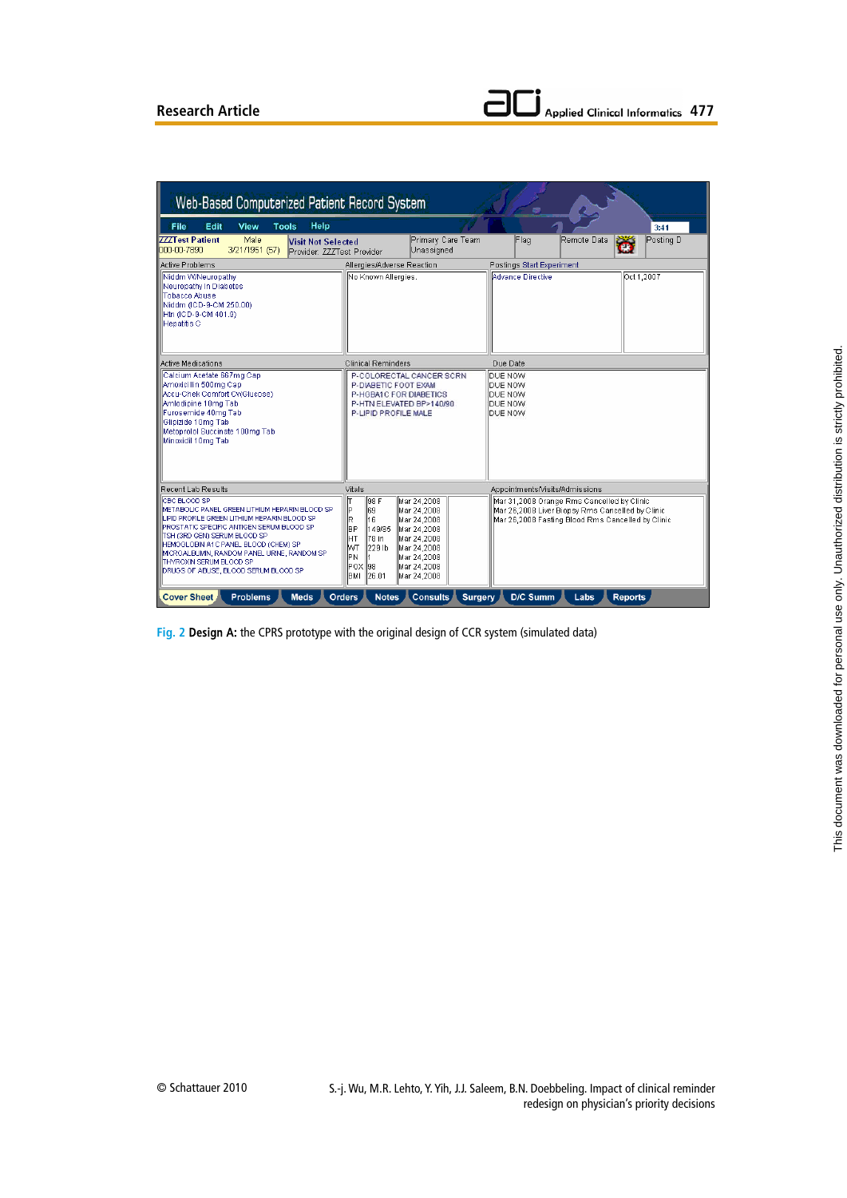| Web-Based Computerized Patient Record System                                                                                                                                                                                                                                                                                                           |                                                                                                                                                                                                                                                                         |                                                                                                                                                     |  |  |  |  |  |  |  |
|--------------------------------------------------------------------------------------------------------------------------------------------------------------------------------------------------------------------------------------------------------------------------------------------------------------------------------------------------------|-------------------------------------------------------------------------------------------------------------------------------------------------------------------------------------------------------------------------------------------------------------------------|-----------------------------------------------------------------------------------------------------------------------------------------------------|--|--|--|--|--|--|--|
| Edit<br>Help<br>File<br><b>View</b><br><b>Tools</b>                                                                                                                                                                                                                                                                                                    |                                                                                                                                                                                                                                                                         | 3:41                                                                                                                                                |  |  |  |  |  |  |  |
| <b>777Test Patient</b><br>Male<br><b>Visit Not Selected</b><br>000-00-7890<br>3/21/1951 (57)<br>Provider: ZZZTest Provider                                                                                                                                                                                                                             | Primary Care Team<br>Unassigned                                                                                                                                                                                                                                         | Flag<br>Posting D<br>Remote Data<br>Ő                                                                                                               |  |  |  |  |  |  |  |
| <b>Active Problems</b>                                                                                                                                                                                                                                                                                                                                 | Allergies/Adverse Reaction                                                                                                                                                                                                                                              | Postings Start Experiment                                                                                                                           |  |  |  |  |  |  |  |
| Niddm W/Neuropathy<br>Neuropathy In Diabetes<br><b>Tobacco Abuse</b><br>Niddm (ICD-9-CM 250.00)<br>Htn (ICD-9-CM 401.9)<br>Hepatitis C                                                                                                                                                                                                                 | No Known Allergies.                                                                                                                                                                                                                                                     | Oct 1,2007<br><b>Advance Directive</b>                                                                                                              |  |  |  |  |  |  |  |
| <b>Active Medications</b>                                                                                                                                                                                                                                                                                                                              | <b>Clinical Reminders</b>                                                                                                                                                                                                                                               | Due Date                                                                                                                                            |  |  |  |  |  |  |  |
| Calcium Acetate 667mg Cap<br>Amoxicillin 500mg Cap<br>Accu-Chek Comfort Cv(Glucose)<br>Amlodipine 10mg Tab<br>Furosemide 40mg Tab<br>Glipizide 10mg Tab<br>Metoprolol Succinate 100mg Tab<br>Minoxidil 10mg Tab                                                                                                                                        | P-COLORECTAL CANCER SCRN<br>P-DIABETIC FOOT EXAM<br>P-HGBA1C FOR DIABETICS<br>P-HTN ELEVATED BP>140/90<br>P-LIPID PROFILE MALE                                                                                                                                          | DUE NOW<br>DUE NOW<br><b>DUE NOW</b><br>DUE NOW<br>DUE NOW                                                                                          |  |  |  |  |  |  |  |
| Recent Lab Results                                                                                                                                                                                                                                                                                                                                     | Vitals                                                                                                                                                                                                                                                                  | Appointments/Visits/Admissions                                                                                                                      |  |  |  |  |  |  |  |
| CBC BLOOD SP<br>METABOLIC PANEL GREEN LITHIUM HEPARIN BLOOD SP<br>IPID PROFILE GREEN LITHIUM HEPARIN BLOOD SP.<br>PROSTATIC SPECIFIC ANTIGEN SERUM BLOOD SP.<br>ISH (3RD GEN) SERUM BLOOD SP<br>HEMOGLOBIN A1C PANEL BLOOD (CHEM) SP<br>MICROALBUMIN, RANDOM PANEL URINE, RANDOM SP<br>THYROXIN SERUM BLOOD SP<br>DRUGS OF ABUSE, BLOOD SERUM BLOOD SP | 98 F<br>Mar 24,2008<br>Þ<br>69<br>Mar 24,2008<br>R<br>16<br>Mar 24,2008<br><b>BP</b><br>149/85<br>Mar 24,2008<br>ļΗT<br>178 in<br>Mar 24,2008<br>MТ<br>229 lb<br>Mar 24,2008<br>lPN.<br>Mar 24,2008<br>POX<br>198<br>Mar 24,2008<br><b>BMI</b><br> 26.01<br>Mar 24,2008 | Mar 31,2008 Orange Rms Cancelled by Clinic<br>Mar 26,2008 Liver Biopsy Rms Cancelled by Clinic<br>Mar 26,2008 Fasting Blood Rms Cancelled by Clinic |  |  |  |  |  |  |  |
| <b>Consults</b><br><b>Surgery</b><br>D/C Summ<br><b>Cover Sheet</b><br><b>Problems</b><br><b>Meds</b><br>Orders<br><b>Notes</b><br>Labs<br><b>Reports</b>                                                                                                                                                                                              |                                                                                                                                                                                                                                                                         |                                                                                                                                                     |  |  |  |  |  |  |  |

**Fig. 2** Design A: the CPRS prototype with the original design of CCR system (simulated data)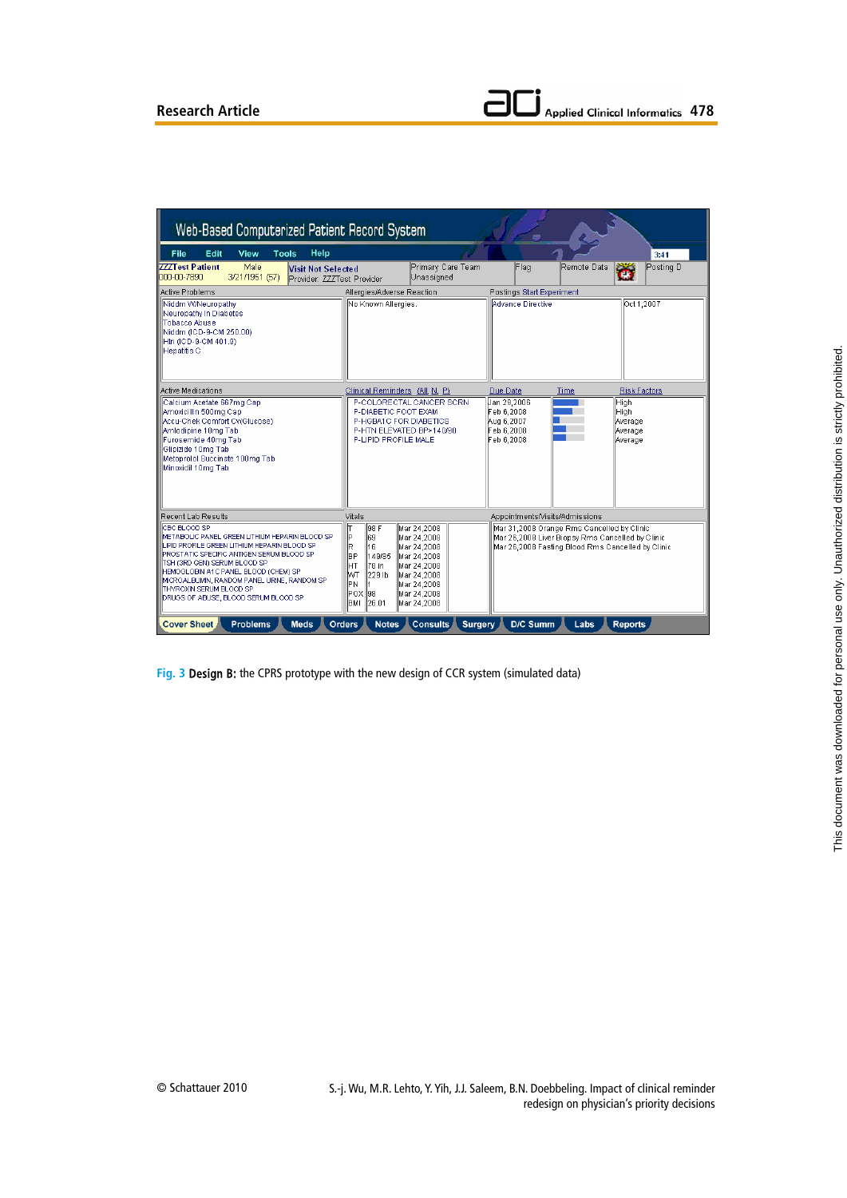| Web-Based Computerized Patient Record System                                                                                                                                                                                                                                                                                                           |                                                                                                                                                                                                                                                                                       |                                                                                                                                                     |                                               |  |  |  |  |  |  |
|--------------------------------------------------------------------------------------------------------------------------------------------------------------------------------------------------------------------------------------------------------------------------------------------------------------------------------------------------------|---------------------------------------------------------------------------------------------------------------------------------------------------------------------------------------------------------------------------------------------------------------------------------------|-----------------------------------------------------------------------------------------------------------------------------------------------------|-----------------------------------------------|--|--|--|--|--|--|
| File<br>Edit<br>Help<br><b>View</b><br><b>Tools</b>                                                                                                                                                                                                                                                                                                    |                                                                                                                                                                                                                                                                                       |                                                                                                                                                     | 3:41                                          |  |  |  |  |  |  |
| <b>ZZZTest Patient</b><br>Male<br><b>Visit Not Selected</b><br>000-00-7890<br>3/21/1951 (57)<br>Provider: ZZZTest Provider                                                                                                                                                                                                                             | Primary Care Team<br>Unassigned                                                                                                                                                                                                                                                       | Flag<br>Remote Data                                                                                                                                 | Posting D<br>ö                                |  |  |  |  |  |  |
| <b>Active Problems</b>                                                                                                                                                                                                                                                                                                                                 | Allergies/Adverse Reaction                                                                                                                                                                                                                                                            | Postings Start Experiment                                                                                                                           |                                               |  |  |  |  |  |  |
| Niddm W/Neuropathy<br>Neuropathy In Diabetes<br>Tobacco Abuse<br>Niddm (ICD-9-CM 250.00)<br>Htn (ICD-9-CM 401.9)<br>Hepatitis C                                                                                                                                                                                                                        | No Known Allergies.                                                                                                                                                                                                                                                                   | <b>Advance Directive</b>                                                                                                                            | Oct 1,2007                                    |  |  |  |  |  |  |
| <b>Active Medications</b>                                                                                                                                                                                                                                                                                                                              | Clinical Reminders (All, N, P)                                                                                                                                                                                                                                                        | Due Date<br>Time                                                                                                                                    | <b>Risk Factors</b>                           |  |  |  |  |  |  |
| Calcium Acetate 667mg Cap<br>Amoxicillin 500mg Cap<br>Accu-Chek Comfort Cv(Glucose)<br>Amlodipine 10mg Tab<br>Furosemide 40mg Tab<br>Glipizide 10mg Tab<br>Metoprolol Succinate 100mg Tab<br>Minoxidil 10mg Tab                                                                                                                                        | P-COLORECTAL CANCER SCRN<br>P-DIABETIC FOOT EXAM<br>P-HGBA1C FOR DIABETICS<br>P-HTN ELEVATED BP>140/90<br>P-LIPID PROFILE MALE                                                                                                                                                        | Uan 29,2006<br>Feb 6,2008<br>Aug 6,2007<br>Feb 6,2008<br>Feb 6,2008                                                                                 | High<br>High<br>Average<br>Average<br>Average |  |  |  |  |  |  |
| Recent Lab Results                                                                                                                                                                                                                                                                                                                                     | Vitals                                                                                                                                                                                                                                                                                | Appointments/Visits/Admissions                                                                                                                      |                                               |  |  |  |  |  |  |
| CBC BLOOD SP<br>METABOLIC PANEL GREEN LITHIUM HEPARIN BLOOD SP<br>LIPID PROFILE GREEN LITHIUM HEPARIN BLOOD SP<br>PROSTATIC SPECIFIC ANTIGEN SERUM BLOOD SP.<br>TSH (3RD GEN) SERUM BLOOD SP<br>HEMOGLOBIN A1C PANEL BLOOD (CHEM) SP<br>MICROALBUMIN, RANDOM PANEL URINE, RANDOM SP<br>THYROXIN SERUM BLOOD SP<br>DRUGS OF ABUSE, BLOOD SERUM BLOOD SP | ╓<br>98 F<br>Mar 24,2008<br>$\mathbb{F}_{\mathsf{R}}$<br>169<br>Mar 24,2008<br>16<br>Mar 24,2008<br> BP<br>149/85<br>Mar 24,2008<br>lнт<br>78 in<br>Mar 24,2008<br>229 lb<br>MТ<br>Mar 24,2008<br>llen<br>Mar 24,2008<br>POX 98<br>Mar 24,2008<br><b>BMI</b><br> 26.01<br>Mar 24,2008 | Mar 31.2008 Orange Rms Cancelled by Clinic<br>Mar 26,2008 Liver Biopsy Rms Cancelled by Clinic<br>Mar 26,2008 Fasting Blood Rms Cancelled by Clinic |                                               |  |  |  |  |  |  |
| <b>Consults</b><br>$D/C$ Summ<br>Orders<br>Notes<br><b>Surgery</b><br><b>Cover Sheet</b><br><b>Problems</b><br><b>Meds</b><br>Labs<br><b>Reports</b>                                                                                                                                                                                                   |                                                                                                                                                                                                                                                                                       |                                                                                                                                                     |                                               |  |  |  |  |  |  |

**Fig. 3** Design B: the CPRS prototype with the new design of CCR system (simulated data)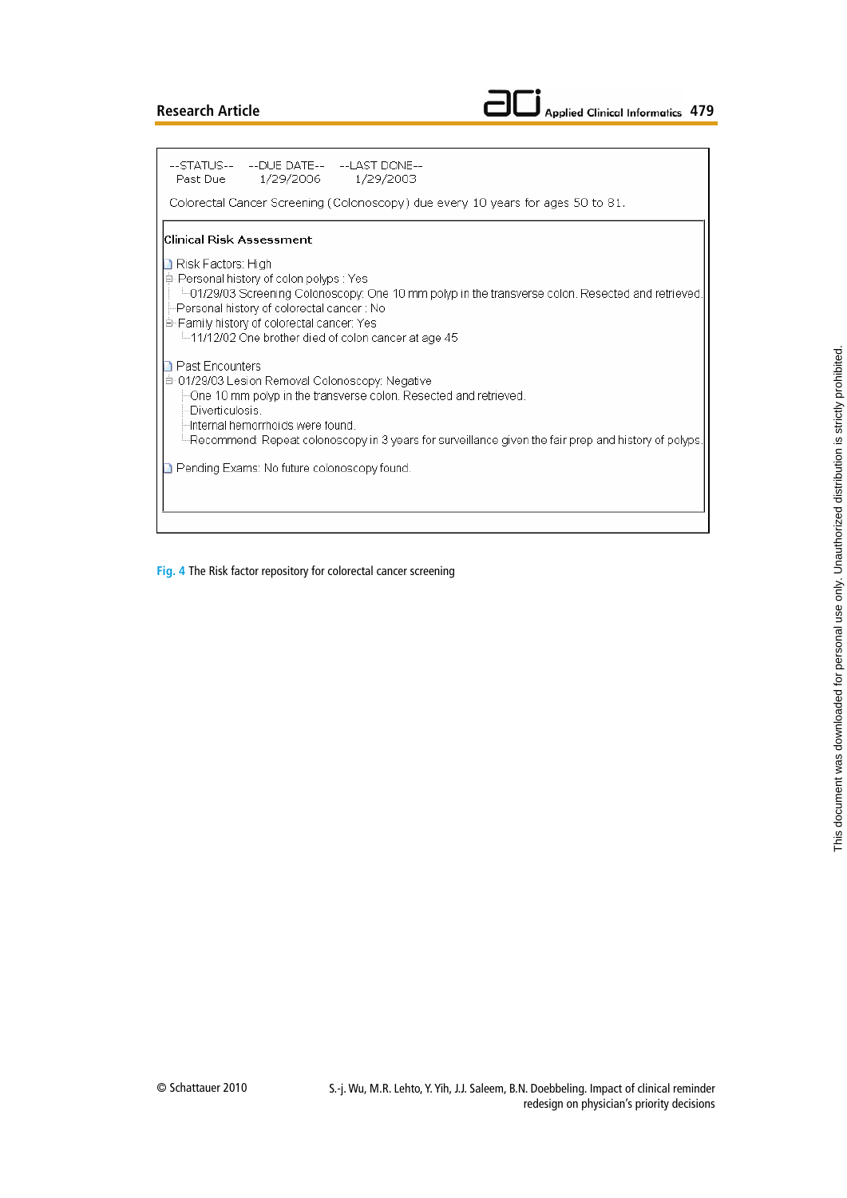

--STATUS-- -- DUE DATE-- -- LAST DONE--Past Due 1/29/2006 1/29/2003 Colorectal Cancer Screening (Colonoscopy) due every 10 years for ages 50 to 81. **Clinical Risk Assessment** Risk Factors: High |≑ Personal history of colon polyps : Yes Lo1/29/03 Screening Colonoscopy: One 10 mm polyp in the transverse colon. Resected and retrieved Personal history of colorectal cancer: No | d-Family history of colorectal cancer: Yes i-11/12/02 One brother died of colon cancer at age 45 Past Encounters 6-01/29/03 Lesion Removal Colonoscopy: Negative One 10 mm polyp in the transverse colon. Resected and retrieved. -Diverticulosis. -Internal hemorrhoids were found. Recommend: Repeat colonoscopy in 3 years for surveillance given the fair prep and history of polyps Pending Exams: No future colonoscopy found.

#### **Fig. 4** The Risk factor repository for colorectal cancer screening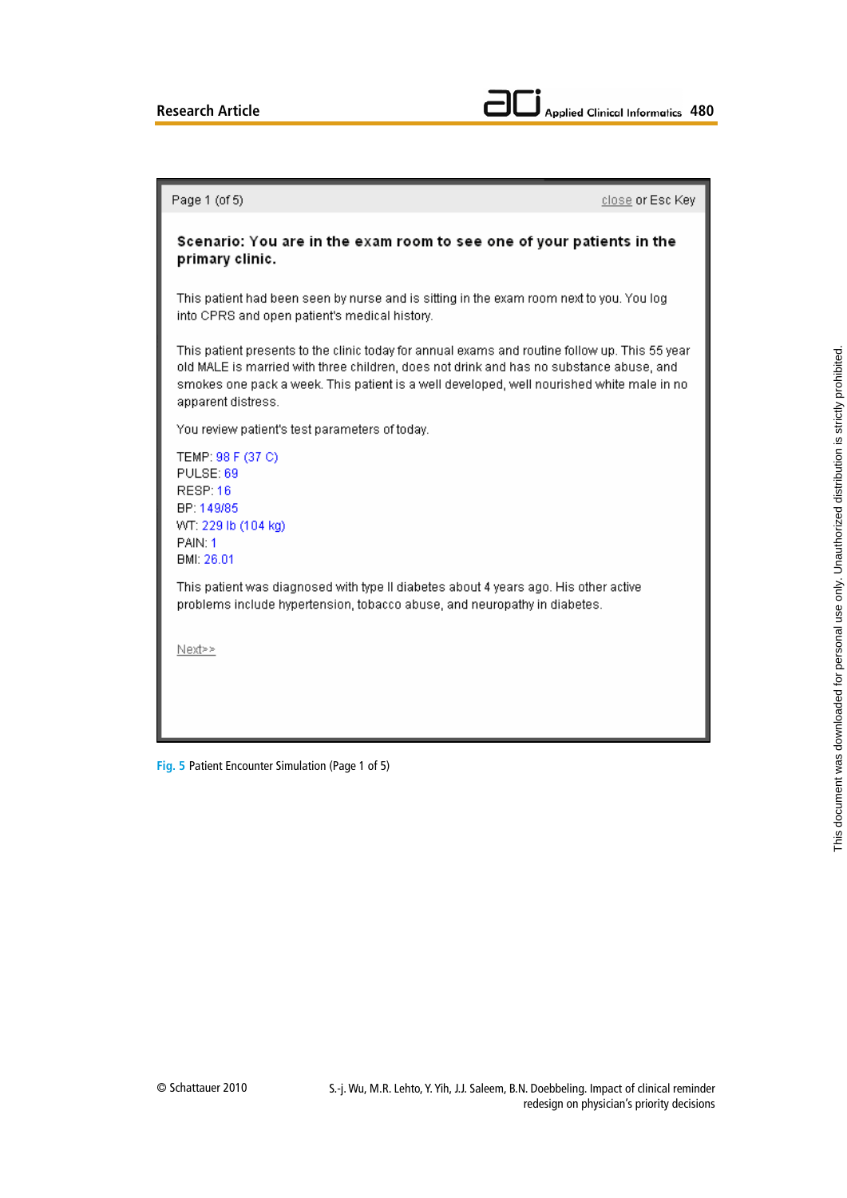| Page 1 (of 5)                                                                                                                                                                                                                                                                                                | close or Esc Key |
|--------------------------------------------------------------------------------------------------------------------------------------------------------------------------------------------------------------------------------------------------------------------------------------------------------------|------------------|
| Scenario: You are in the exam room to see one of your patients in the<br>primary clinic.                                                                                                                                                                                                                     |                  |
| This patient had been seen by nurse and is sitting in the exam room next to you. You log<br>into CPRS and open patient's medical history.                                                                                                                                                                    |                  |
| This patient presents to the clinic today for annual exams and routine follow up. This 55 year<br>old MALE is married with three children, does not drink and has no substance abuse, and<br>smokes one pack a week. This patient is a well developed, well nourished white male in no<br>apparent distress. |                  |
| You review patient's test parameters of today.                                                                                                                                                                                                                                                               |                  |
| TEMP: 98 F (37 C)<br>PULSE: 69<br><b>RESP: 16</b><br>BP: 149/85<br>WT: 229 lb (104 kg)<br>PAIN: 1<br>BMI: 26.01                                                                                                                                                                                              |                  |
| This patient was diagnosed with type II diabetes about 4 years ago. His other active<br>problems include hypertension, tobacco abuse, and neuropathy in diabetes.                                                                                                                                            |                  |
| Next>>                                                                                                                                                                                                                                                                                                       |                  |

**Fig. 5** Patient Encounter Simulation (Page 1 of 5)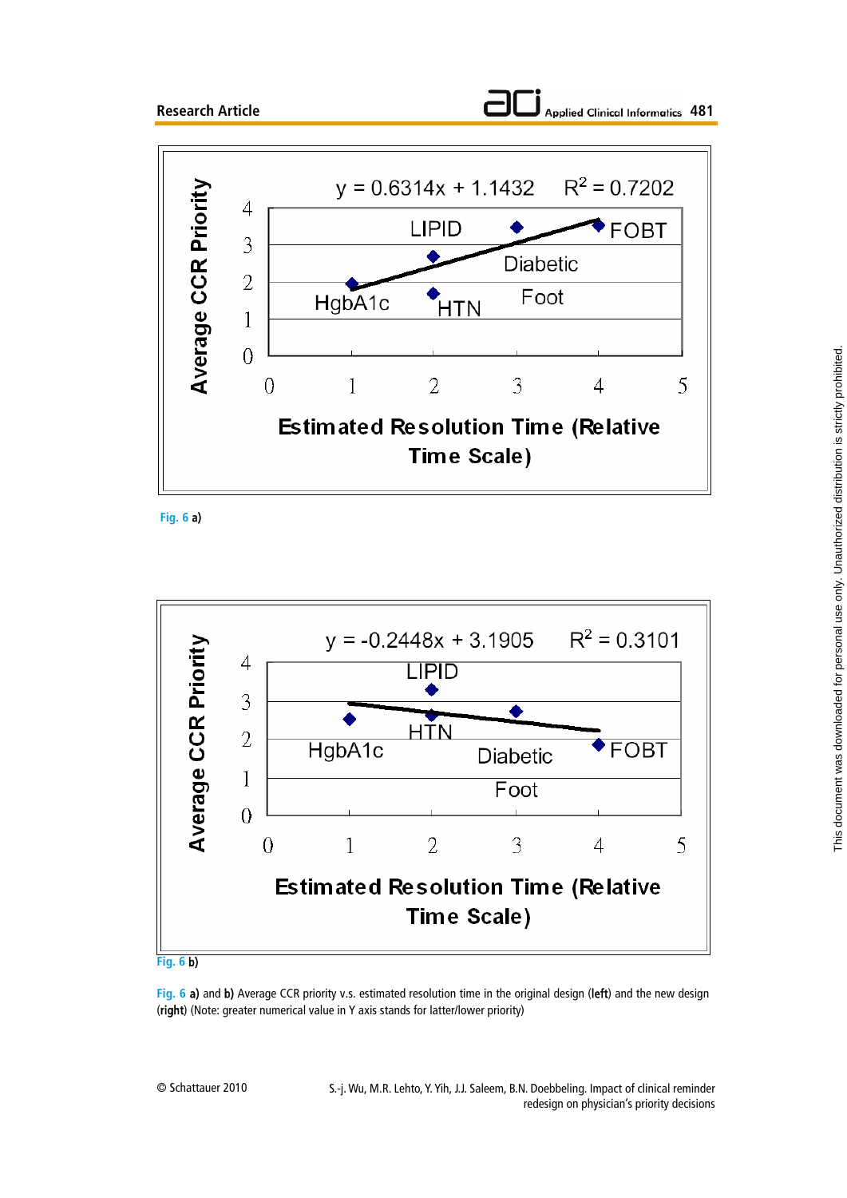



 **Fig. 6** a)



**Fig. 6** b)

**Fig. 6** a) and b) Average CCR priority v.s. estimated resolution time in the original design (left) and the new design (right) (Note: greater numerical value in Y axis stands for latter/lower priority)

S.-j. Wu, M.R. Lehto, Y. Yih, J.J. Saleem, B.N. Doebbeling. Impact of clinical reminder redesign on physician's priority decisions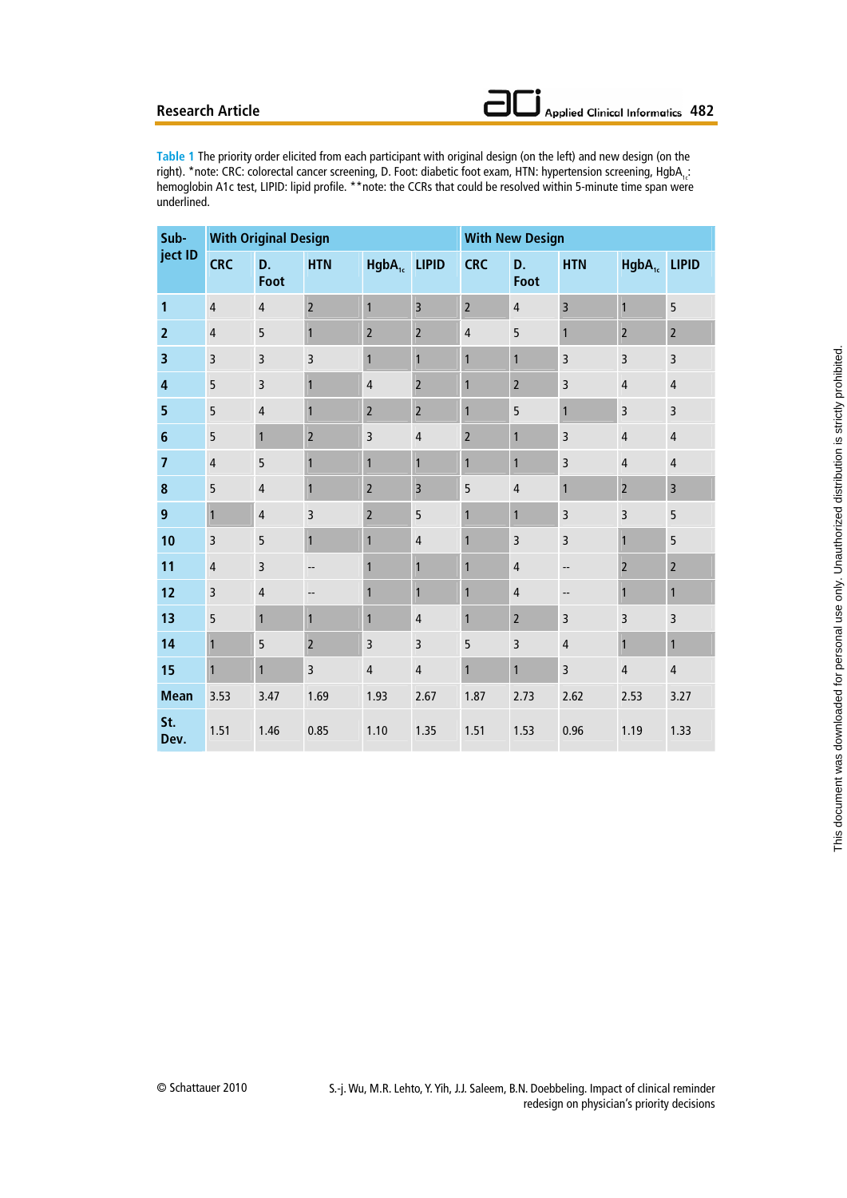**Table 1** The priority order elicited from each participant with original design (on the left) and new design (on the right). \*note: CRC: colorectal cancer screening, D. Foot: diabetic foot exam, HTN: hypertension screening, HgbA<sub>1c</sub>: hemoglobin A1c test, LIPID: lipid profile. \*\*note: the CCRs that could be resolved within 5-minute time span were underlined.

| Sub-                    | <b>With Original Design</b> |                         |                |                          | <b>With New Design</b>  |                |                |                |                         |                         |
|-------------------------|-----------------------------|-------------------------|----------------|--------------------------|-------------------------|----------------|----------------|----------------|-------------------------|-------------------------|
| ject ID                 | <b>CRC</b>                  | D.<br>Foot              | <b>HTN</b>     | HgbA <sub>1c</sub> LIPID |                         | <b>CRC</b>     | D.<br>Foot     | <b>HTN</b>     | $HgbA_{1c}$ LIPID       |                         |
| 1                       | $\overline{4}$              | $\sqrt{4}$              | $\overline{2}$ | $\mathbf{1}$             | 3                       | $\overline{2}$ | $\overline{4}$ | 3              | $\overline{1}$          | 5                       |
| $\overline{2}$          | $\overline{4}$              | 5                       | $\mathbf{1}$   | $\overline{2}$           | $\overline{2}$          | $\overline{4}$ | 5              | 1              | $\overline{2}$          | $\overline{2}$          |
| 3                       | $\overline{\mathbf{3}}$     | $\mathsf 3$             | $\overline{3}$ | $\mathbf{1}$             | $\mathbf{1}$            | $\mathbf{1}$   | $\mathbf{1}$   | 3              | $\overline{3}$          | $\overline{\mathbf{3}}$ |
| $\overline{\mathbf{4}}$ | 5                           | $\overline{\mathbf{3}}$ | $\mathbf{1}$   | $\sqrt{4}$               | $\overline{2}$          | $\mathbf{1}$   | $\overline{2}$ | 3              | $\overline{4}$          | $\overline{\mathbf{4}}$ |
| 5                       | 5                           | $\overline{4}$          | $\mathbf{1}$   | $\overline{2}$           | $\overline{2}$          | $\mathbf{1}$   | 5              | $\mathbf{1}$   | $\overline{3}$          | $\overline{3}$          |
| $6\phantom{1}6$         | 5                           | $\mathbf{1}$            | $\overline{2}$ | $\overline{\mathbf{3}}$  | $\sqrt{4}$              | $\overline{2}$ | $\mathbf{1}$   | 3              | $\overline{4}$          | $\overline{4}$          |
| $\overline{\mathbf{z}}$ | $\overline{4}$              | 5                       | $\mathbf{1}$   | $\mathbf{1}$             | $\mathbf{1}$            | $\mathbf{1}$   | $\mathbf{1}$   | $\overline{3}$ | $\overline{4}$          | $\overline{4}$          |
| 8                       | 5                           | $\overline{4}$          | $\mathbf{1}$   | $\overline{2}$           | 3                       | 5              | $\overline{4}$ | $\mathbf{1}$   | $\overline{2}$          | 3                       |
| 9                       | $\mathbf{1}$                | $\overline{4}$          | 3              | $\overline{2}$           | 5                       | $\mathbf{1}$   | $\mathbf{1}$   | 3              | $\overline{\mathbf{3}}$ | 5                       |
| 10                      | $\overline{3}$              | $\overline{5}$          | $\overline{1}$ | $\mathbf{1}$             | $\sqrt{4}$              | $\mathbf{1}$   | $\overline{3}$ | 3              | $\overline{1}$          | 5                       |
| 11                      | $\sqrt{4}$                  | $\overline{3}$          | --             | 1                        | 1                       | $\mathbf{1}$   | $\overline{4}$ | --             | $\overline{2}$          | $\overline{2}$          |
| 12                      | 3                           | $\overline{4}$          | --             | 1                        | 1                       | 1              | $\overline{4}$ | --             | $\mathbf{1}$            | $\mathbf{1}$            |
| 13                      | 5                           | $\mathbf{1}$            | $\mathbf{1}$   | 1                        | $\sqrt{4}$              | $\mathbf{1}$   | $\overline{2}$ | 3              | $\overline{\mathbf{3}}$ | $\overline{\mathbf{3}}$ |
| 14                      | $\overline{1}$              | 5                       | $\overline{2}$ | $\overline{\mathbf{3}}$  | $\overline{\mathbf{3}}$ | 5              | 3              | $\sqrt{4}$     | $\mathbf{1}$            | $\mathbf{1}$            |
| 15                      | $\mathbf{1}$                | $\mathbf{1}$            | $\overline{3}$ | $\overline{4}$           | $\overline{4}$          | $\mathbf{1}$   | $\mathbf{1}$   | 3              | $\overline{4}$          | $\overline{4}$          |
| <b>Mean</b>             | 3.53                        | 3.47                    | 1.69           | 1.93                     | 2.67                    | 1.87           | 2.73           | 2.62           | 2.53                    | 3.27                    |
| St.<br>Dev.             | 1.51                        | 1.46                    | 0.85           | 1.10                     | 1.35                    | 1.51           | 1.53           | 0.96           | 1.19                    | 1.33                    |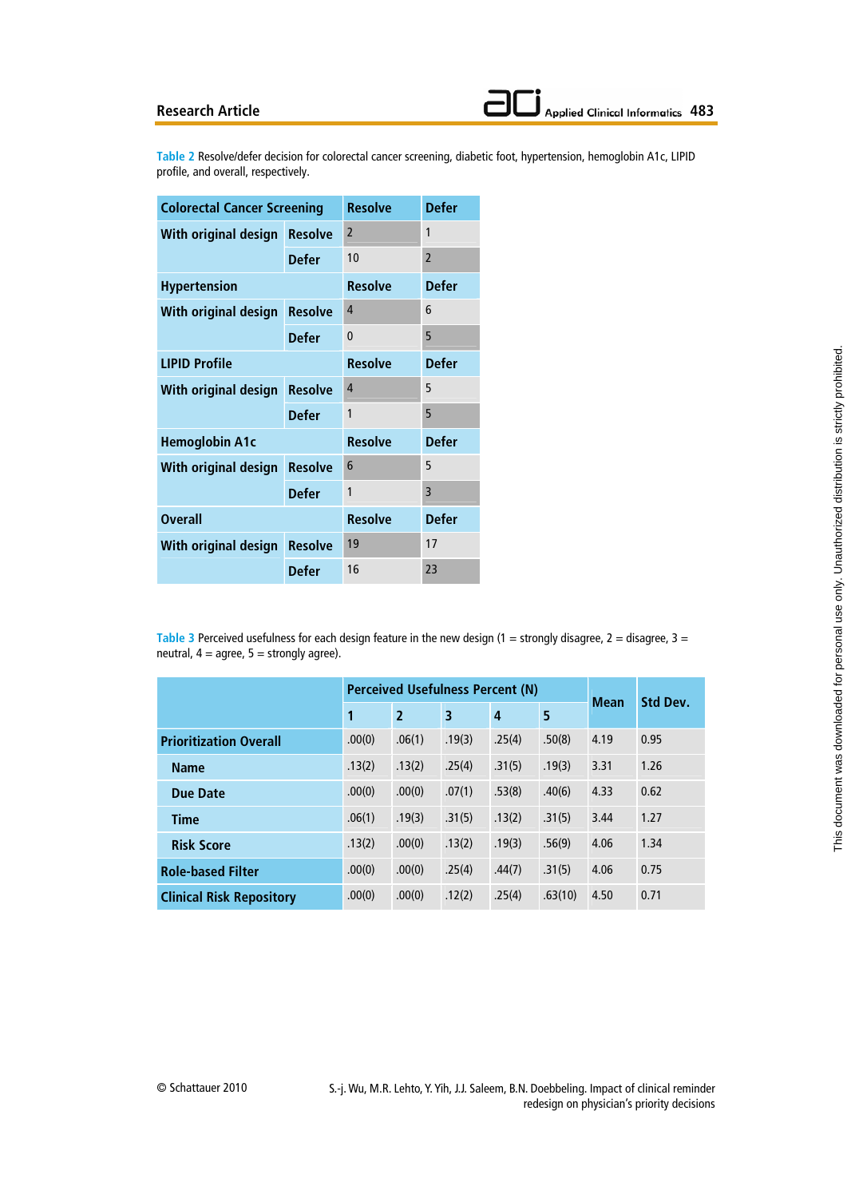**Table 2** Resolve/defer decision for colorectal cancer screening, diabetic foot, hypertension, hemoglobin A1c, LIPID profile, and overall, respectively.

| <b>Colorectal Cancer Screening</b> | <b>Resolve</b> | Defer          |                          |  |
|------------------------------------|----------------|----------------|--------------------------|--|
| With original design               | <b>Resolve</b> | $\overline{2}$ | 1                        |  |
|                                    | <b>Defer</b>   | 10             | $\overline{\phantom{0}}$ |  |
| <b>Hypertension</b>                | <b>Resolve</b> | <b>Defer</b>   |                          |  |
| With original design               | <b>Resolve</b> | 4              | 6                        |  |
|                                    | <b>Defer</b>   | $\Omega$       | 5                        |  |
| <b>LIPID Profile</b>               | <b>Resolve</b> | <b>Defer</b>   |                          |  |
| With original design               | <b>Resolve</b> | 4              | 5                        |  |
|                                    | <b>Defer</b>   | 1              | 5                        |  |
| <b>Hemoglobin A1c</b>              |                | <b>Resolve</b> | <b>Defer</b>             |  |
| With original design               | <b>Resolve</b> | 6              | 5                        |  |
|                                    | <b>Defer</b>   | 1              | 3                        |  |
| <b>Overall</b>                     | <b>Resolve</b> | <b>Defer</b>   |                          |  |
| With original design               | <b>Resolve</b> | 19             | 17                       |  |
|                                    | Defer          | 16             | 23                       |  |

**Table 3** Perceived usefulness for each design feature in the new design (1 = strongly disagree, 2 = disagree, 3 = neutral,  $4 =$  agree,  $5 =$  strongly agree).

|                                 |        | <b>Perceived Usefulness Percent (N)</b> |        | <b>Std Dev.</b> |         |             |      |
|---------------------------------|--------|-----------------------------------------|--------|-----------------|---------|-------------|------|
|                                 | 1      | $\overline{2}$                          | 3      | 4               | 5       | <b>Mean</b> |      |
| <b>Prioritization Overall</b>   | .00(0) | .06(1)                                  | .19(3) | .25(4)          | .50(8)  | 4.19        | 0.95 |
| <b>Name</b>                     | .13(2) | .13(2)                                  | .25(4) | .31(5)          | .19(3)  | 3.31        | 1.26 |
| <b>Due Date</b>                 | .00(0) | .00(0)                                  | .07(1) | .53(8)          | .40(6)  | 4.33        | 0.62 |
| <b>Time</b>                     | .06(1) | .19(3)                                  | .31(5) | .13(2)          | .31(5)  | 3.44        | 1.27 |
| <b>Risk Score</b>               | .13(2) | .00(0)                                  | .13(2) | .19(3)          | .56(9)  | 4.06        | 1.34 |
| <b>Role-based Filter</b>        | .00(0) | .00(0)                                  | .25(4) | .44(7)          | .31(5)  | 4.06        | 0.75 |
| <b>Clinical Risk Repository</b> | .00(0) | .00(0)                                  | .12(2) | .25(4)          | .63(10) | 4.50        | 0.71 |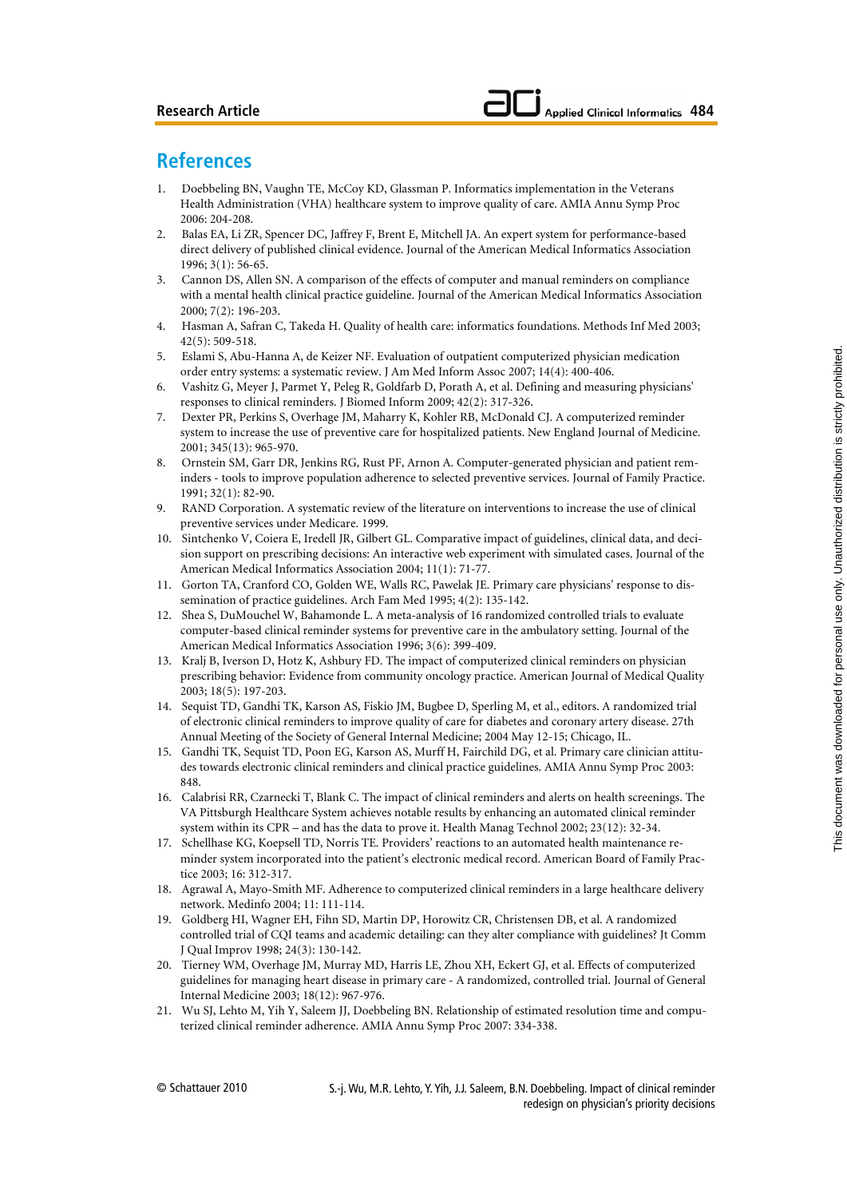# **References**

- 1. Doebbeling BN, Vaughn TE, McCoy KD, Glassman P. Informatics implementation in the Veterans Health Administration (VHA) healthcare system to improve quality of care. AMIA Annu Symp Proc 2006: 204-208.
- 2. Balas EA, Li ZR, Spencer DC, Jaffrey F, Brent E, Mitchell JA. An expert system for performance-based direct delivery of published clinical evidence. Journal of the American Medical Informatics Association 1996; 3(1): 56-65.
- 3. Cannon DS, Allen SN. A comparison of the effects of computer and manual reminders on compliance with a mental health clinical practice guideline. Journal of the American Medical Informatics Association 2000; 7(2): 196-203.
- 4. Hasman A, Safran C, Takeda H. Quality of health care: informatics foundations. Methods Inf Med 2003; 42(5): 509-518.
- 5. Eslami S, Abu-Hanna A, de Keizer NF. Evaluation of outpatient computerized physician medication order entry systems: a systematic review. J Am Med Inform Assoc 2007; 14(4): 400-406.
- 6. Vashitz G, Meyer J, Parmet Y, Peleg R, Goldfarb D, Porath A, et al. Defining and measuring physicians' responses to clinical reminders. J Biomed Inform 2009; 42(2): 317-326.
- 7. Dexter PR, Perkins S, Overhage JM, Maharry K, Kohler RB, McDonald CJ. A computerized reminder system to increase the use of preventive care for hospitalized patients. New England Journal of Medicine. 2001; 345(13): 965-970.
- 8. Ornstein SM, Garr DR, Jenkins RG, Rust PF, Arnon A. Computer-generated physician and patient reminders - tools to improve population adherence to selected preventive services. Journal of Family Practice. 1991; 32(1): 82-90.
- 9. RAND Corporation. A systematic review of the literature on interventions to increase the use of clinical preventive services under Medicare. 1999.
- 10. Sintchenko V, Coiera E, Iredell JR, Gilbert GL. Comparative impact of guidelines, clinical data, and decision support on prescribing decisions: An interactive web experiment with simulated cases. Journal of the American Medical Informatics Association 2004; 11(1): 71-77.
- 11. Gorton TA, Cranford CO, Golden WE, Walls RC, Pawelak JE. Primary care physicians' response to dissemination of practice guidelines. Arch Fam Med 1995; 4(2): 135-142.
- 12. Shea S, DuMouchel W, Bahamonde L. A meta-analysis of 16 randomized controlled trials to evaluate computer-based clinical reminder systems for preventive care in the ambulatory setting. Journal of the American Medical Informatics Association 1996; 3(6): 399-409.
- 13. Kralj B, Iverson D, Hotz K, Ashbury FD. The impact of computerized clinical reminders on physician prescribing behavior: Evidence from community oncology practice. American Journal of Medical Quality 2003; 18(5): 197-203.
- 14. Sequist TD, Gandhi TK, Karson AS, Fiskio JM, Bugbee D, Sperling M, et al., editors. A randomized trial of electronic clinical reminders to improve quality of care for diabetes and coronary artery disease. 27th Annual Meeting of the Society of General Internal Medicine; 2004 May 12-15; Chicago, IL.
- 15. Gandhi TK, Sequist TD, Poon EG, Karson AS, Murff H, Fairchild DG, et al. Primary care clinician attitudes towards electronic clinical reminders and clinical practice guidelines. AMIA Annu Symp Proc 2003: 848.
- 16. Calabrisi RR, Czarnecki T, Blank C. The impact of clinical reminders and alerts on health screenings. The VA Pittsburgh Healthcare System achieves notable results by enhancing an automated clinical reminder system within its CPR – and has the data to prove it. Health Manag Technol 2002; 23(12): 32-34.
- 17. Schellhase KG, Koepsell TD, Norris TE. Providers' reactions to an automated health maintenance reminder system incorporated into the patient's electronic medical record. American Board of Family Practice 2003; 16: 312-317.
- 18. Agrawal A, Mayo-Smith MF. Adherence to computerized clinical reminders in a large healthcare delivery network. Medinfo 2004; 11: 111-114.
- 19. Goldberg HI, Wagner EH, Fihn SD, Martin DP, Horowitz CR, Christensen DB, et al. A randomized controlled trial of CQI teams and academic detailing: can they alter compliance with guidelines? Jt Comm J Qual Improv 1998; 24(3): 130-142.
- 20. Tierney WM, Overhage JM, Murray MD, Harris LE, Zhou XH, Eckert GJ, et al. Effects of computerized guidelines for managing heart disease in primary care - A randomized, controlled trial. Journal of General Internal Medicine 2003; 18(12): 967-976.
- 21. Wu SJ, Lehto M, Yih Y, Saleem JJ, Doebbeling BN, Relationship of estimated resolution time and computerized clinical reminder adherence. AMIA Annu Symp Proc 2007: 334-338.